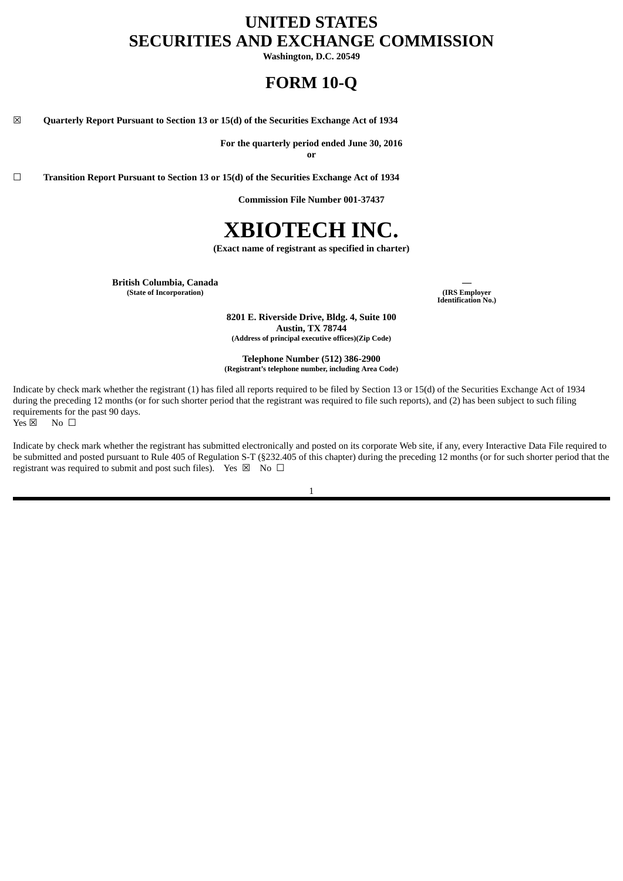## **UNITED STATES SECURITIES AND EXCHANGE COMMISSION**

**Washington, D.C. 20549**

# **FORM 10-Q**

☒ **Quarterly Report Pursuant to Section 13 or 15(d) of the Securities Exchange Act of 1934**

**For the quarterly period ended June 30, 2016 or**

☐ **Transition Report Pursuant to Section 13 or 15(d) of the Securities Exchange Act of 1934**

**Commission File Number 001-37437**

# **XBIOTECH INC.**

**(Exact name of registrant as specified in charter)**

**British Columbia, Canada —**  $(State of Incorporation)$ 

> **8201 E. Riverside Drive, Bldg. 4, Suite 100 Austin, TX 78744 (Address of principal executive offices)(Zip Code)**

**Identification No.)**

**Telephone Number (512) 386-2900 (Registrant's telephone number, including Area Code)**

Indicate by check mark whether the registrant (1) has filed all reports required to be filed by Section 13 or 15(d) of the Securities Exchange Act of 1934 during the preceding 12 months (or for such shorter period that the registrant was required to file such reports), and (2) has been subject to such filing requirements for the past 90 days.

Yes ⊠ No □

Indicate by check mark whether the registrant has submitted electronically and posted on its corporate Web site, if any, every Interactive Data File required to be submitted and posted pursuant to Rule 405 of Regulation S-T (§232.405 of this chapter) during the preceding 12 months (or for such shorter period that the registrant was required to submit and post such files). Yes  $\boxtimes$  No  $\Box$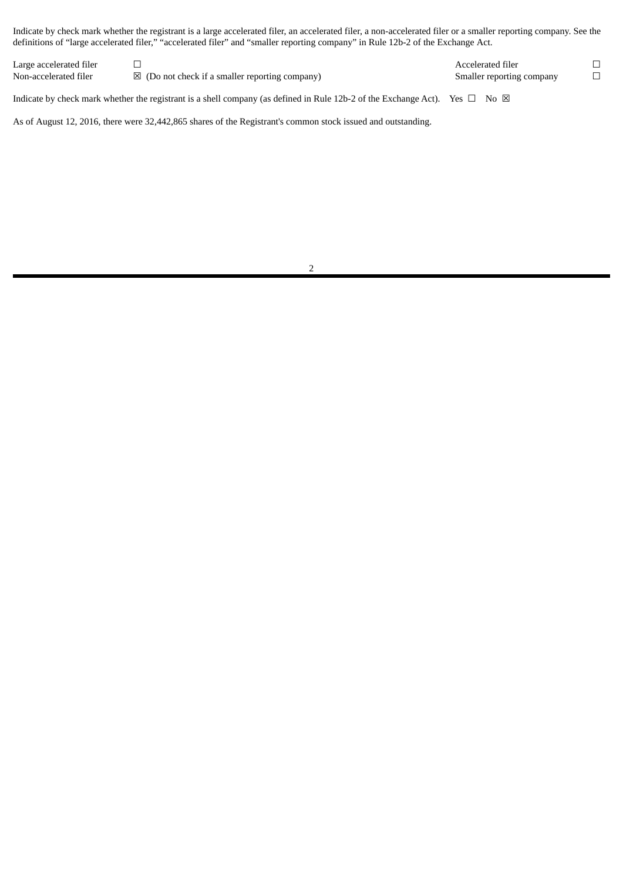Indicate by check mark whether the registrant is a large accelerated filer, an accelerated filer, a non-accelerated filer or a smaller reporting company. See the definitions of "large accelerated filer," "accelerated filer" and "smaller reporting company" in Rule 12b-2 of the Exchange Act.

| Large accelerated filer<br>Non-accelerated filer | $\boxtimes$ (Do not check if a smaller reporting company) | Accelerated filer<br>Smaller reporting company |  |
|--------------------------------------------------|-----------------------------------------------------------|------------------------------------------------|--|
|                                                  |                                                           |                                                |  |

Indicate by check mark whether the registrant is a shell company (as defined in Rule 12b-2 of the Exchange Act). Yes  $\Box$  No  $\boxtimes$ 

As of August 12, 2016, there were 32,442,865 shares of the Registrant's common stock issued and outstanding.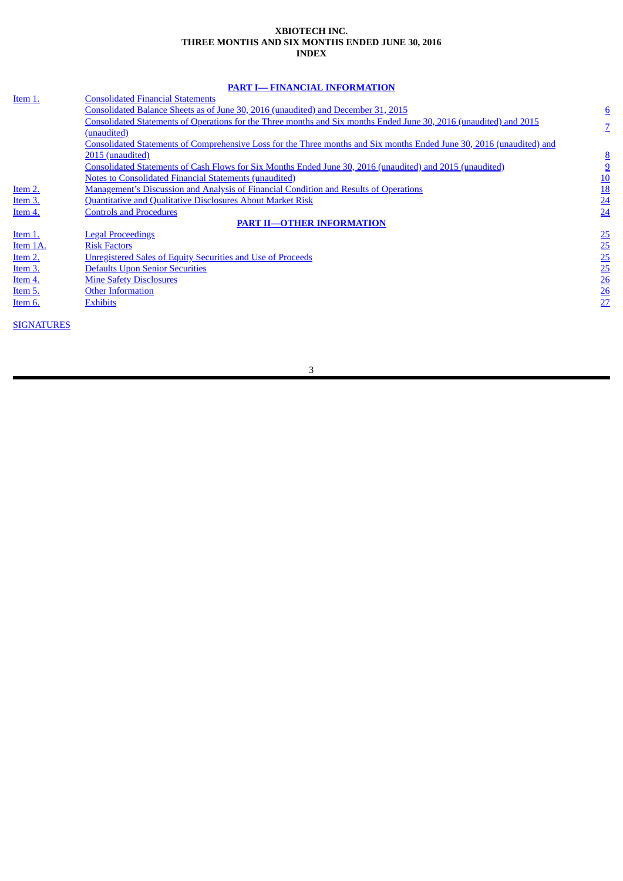## **XBIOTECH INC. THREE MONTHS AND SIX MONTHS ENDED JUNE 30, 2016 INDEX**

## **PART I— FINANCIAL [INFORMATION](#page-5-0)**

|                   | PART I— FINANCIAL INFORMATION                                                                                         |                 |
|-------------------|-----------------------------------------------------------------------------------------------------------------------|-----------------|
| Item 1.           | <b>Consolidated Financial Statements</b>                                                                              |                 |
|                   | Consolidated Balance Sheets as of June 30, 2016 (unaudited) and December 31, 2015                                     | $6\overline{6}$ |
|                   | Consolidated Statements of Operations for the Three months and Six months Ended June 30, 2016 (unaudited) and 2015    |                 |
|                   | (unaudited)                                                                                                           | Z               |
|                   | Consolidated Statements of Comprehensive Loss for the Three months and Six months Ended June 30, 2016 (unaudited) and |                 |
|                   | 2015 (unaudited)                                                                                                      | $\underline{8}$ |
|                   | Consolidated Statements of Cash Flows for Six Months Ended June 30, 2016 (unaudited) and 2015 (unaudited)             | $\overline{9}$  |
|                   | <b>Notes to Consolidated Financial Statements (unaudited)</b>                                                         | 10              |
| Item 2.           | Management's Discussion and Analysis of Financial Condition and Results of Operations                                 | <u>18</u>       |
| Item 3.           | <b>Quantitative and Qualitative Disclosures About Market Risk</b>                                                     | 24              |
| Item 4.           | <b>Controls and Procedures</b>                                                                                        | 24              |
|                   | <b>PART II-OTHER INFORMATION</b>                                                                                      |                 |
| Item 1.           | <b>Legal Proceedings</b>                                                                                              | 25              |
| Item 1A.          | <b>Risk Factors</b>                                                                                                   | 25              |
| Item $2.$         | <b>Unregistered Sales of Equity Securities and Use of Proceeds</b>                                                    | 25              |
| Item 3.           | <b>Defaults Upon Senior Securities</b>                                                                                | $\frac{25}{26}$ |
| Item 4.           | <b>Mine Safety Disclosures</b>                                                                                        |                 |
| Item 5.           | <b>Other Information</b>                                                                                              | 26              |
| Item 6.           | <b>Exhibits</b>                                                                                                       | 27              |
|                   |                                                                                                                       |                 |
| <b>SIGNATURES</b> |                                                                                                                       |                 |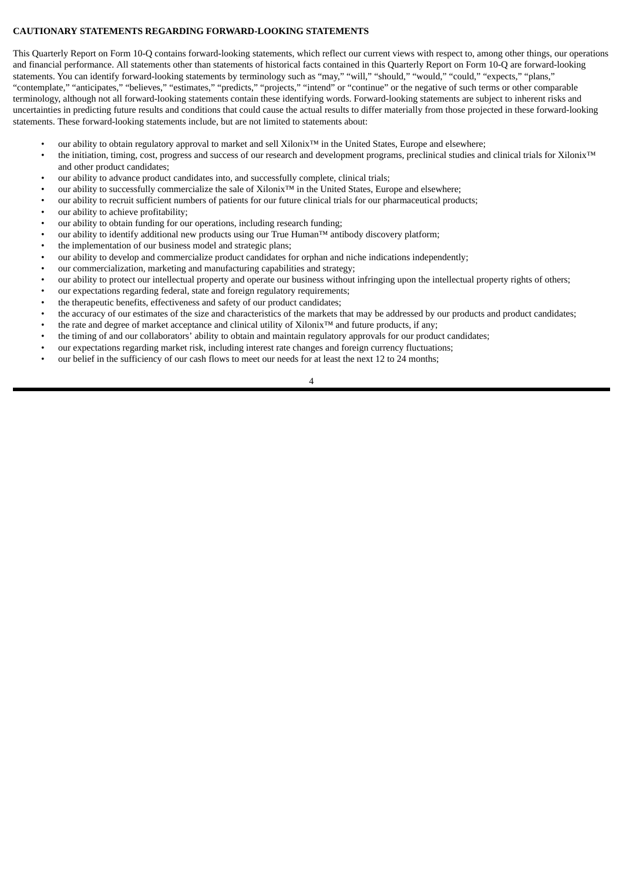## **CAUTIONARY STATEMENTS REGARDING FORWARD-LOOKING STATEMENTS**

This Quarterly Report on Form 10-Q contains forward-looking statements, which reflect our current views with respect to, among other things, our operations and financial performance. All statements other than statements of historical facts contained in this Quarterly Report on Form 10-Q are forward-looking statements. You can identify forward-looking statements by terminology such as "may," "will," "should," "would," "could," "expects," "plans," "contemplate," "anticipates," "believes," "estimates," "predicts," "projects," "intend" or "continue" or the negative of such terms or other comparable terminology, although not all forward-looking statements contain these identifying words. Forward-looking statements are subject to inherent risks and uncertainties in predicting future results and conditions that could cause the actual results to differ materially from those projected in these forward-looking statements. These forward-looking statements include, but are not limited to statements about:

- our ability to obtain regulatory approval to market and sell Xilonix™ in the United States, Europe and elsewhere;
- the initiation, timing, cost, progress and success of our research and development programs, preclinical studies and clinical trials for Xilonix™ and other product candidates;
- our ability to advance product candidates into, and successfully complete, clinical trials;
- our ability to successfully commercialize the sale of Xilonix™ in the United States, Europe and elsewhere;
- our ability to recruit sufficient numbers of patients for our future clinical trials for our pharmaceutical products;
- our ability to achieve profitability;
- our ability to obtain funding for our operations, including research funding;
- our ability to identify additional new products using our True Human™ antibody discovery platform;
- the implementation of our business model and strategic plans;
- our ability to develop and commercialize product candidates for orphan and niche indications independently;
- our commercialization, marketing and manufacturing capabilities and strategy;
- our ability to protect our intellectual property and operate our business without infringing upon the intellectual property rights of others;
- our expectations regarding federal, state and foreign regulatory requirements;
- the therapeutic benefits, effectiveness and safety of our product candidates;
- the accuracy of our estimates of the size and characteristics of the markets that may be addressed by our products and product candidates;
- the rate and degree of market acceptance and clinical utility of Xilonix™ and future products, if any;
- the timing of and our collaborators' ability to obtain and maintain regulatory approvals for our product candidates;
- our expectations regarding market risk, including interest rate changes and foreign currency fluctuations;
	- our belief in the sufficiency of our cash flows to meet our needs for at least the next 12 to 24 months;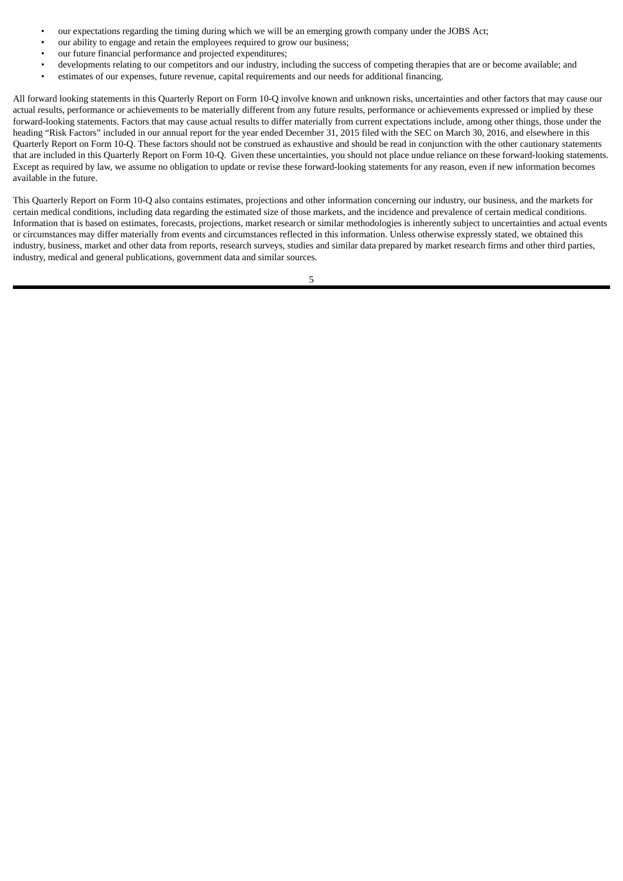- our expectations regarding the timing during which we will be an emerging growth company under the JOBS Act;
- our ability to engage and retain the employees required to grow our business;
- our future financial performance and projected expenditures;
- developments relating to our competitors and our industry, including the success of competing therapies that are or become available; and
- estimates of our expenses, future revenue, capital requirements and our needs for additional financing.

All forward looking statements in this Quarterly Report on Form 10-Q involve known and unknown risks, uncertainties and other factors that may cause our actual results, performance or achievements to be materially different from any future results, performance or achievements expressed or implied by these forward-looking statements. Factors that may cause actual results to differ materially from current expectations include, among other things, those under the heading "Risk Factors" included in our annual report for the year ended December 31, 2015 filed with the SEC on March 30, 2016, and elsewhere in this Quarterly Report on Form 10-Q. These factors should not be construed as exhaustive and should be read in conjunction with the other cautionary statements that are included in this Quarterly Report on Form 10-Q. Given these uncertainties, you should not place undue reliance on these forward-looking statements. Except as required by law, we assume no obligation to update or revise these forward-looking statements for any reason, even if new information becomes available in the future.

This Quarterly Report on Form 10-Q also contains estimates, projections and other information concerning our industry, our business, and the markets for certain medical conditions, including data regarding the estimated size of those markets, and the incidence and prevalence of certain medical conditions. Information that is based on estimates, forecasts, projections, market research or similar methodologies is inherently subject to uncertainties and actual events or circumstances may differ materially from events and circumstances reflected in this information. Unless otherwise expressly stated, we obtained this industry, business, market and other data from reports, research surveys, studies and similar data prepared by market research firms and other third parties, industry, medical and general publications, government data and similar sources.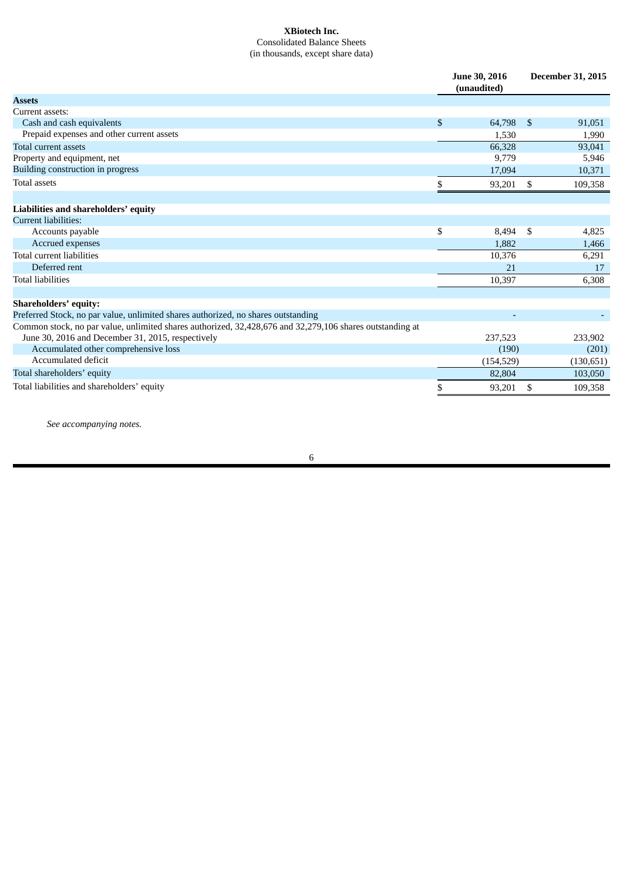## **XBiotech Inc.** Consolidated Balance Sheets (in thousands, except share data)

<span id="page-5-0"></span>

|                                                                                                          | June 30, 2016<br>(unaudited) |     | <b>December 31, 2015</b> |
|----------------------------------------------------------------------------------------------------------|------------------------------|-----|--------------------------|
| <b>Assets</b>                                                                                            |                              |     |                          |
| Current assets:                                                                                          |                              |     |                          |
| Cash and cash equivalents                                                                                | \$<br>64,798                 | -\$ | 91,051                   |
| Prepaid expenses and other current assets                                                                | 1,530                        |     | 1,990                    |
| Total current assets                                                                                     | 66,328                       |     | 93,041                   |
| Property and equipment, net                                                                              | 9,779                        |     | 5,946                    |
| Building construction in progress                                                                        | 17,094                       |     | 10,371                   |
| <b>Total assets</b>                                                                                      | \$<br>93,201                 | -S  | 109,358                  |
| Liabilities and shareholders' equity                                                                     |                              |     |                          |
| Current liabilities:                                                                                     |                              |     |                          |
| Accounts payable                                                                                         | \$<br>8,494                  | -\$ | 4,825                    |
| Accrued expenses                                                                                         | 1,882                        |     | 1,466                    |
| Total current liabilities                                                                                | 10,376                       |     | 6,291                    |
| Deferred rent                                                                                            | 21                           |     | 17                       |
| <b>Total liabilities</b>                                                                                 | 10,397                       |     | 6,308                    |
| <b>Shareholders' equity:</b>                                                                             |                              |     |                          |
| Preferred Stock, no par value, unlimited shares authorized, no shares outstanding                        |                              |     |                          |
| Common stock, no par value, unlimited shares authorized, 32,428,676 and 32,279,106 shares outstanding at |                              |     |                          |
| June 30, 2016 and December 31, 2015, respectively                                                        | 237,523                      |     | 233,902                  |
| Accumulated other comprehensive loss                                                                     | (190)                        |     | (201)                    |
| Accumulated deficit                                                                                      | (154, 529)                   |     | (130, 651)               |
| Total shareholders' equity                                                                               | 82,804                       |     | 103,050                  |
| Total liabilities and shareholders' equity                                                               | \$<br>93,201                 | \$  | 109,358                  |

*See accompanying notes.*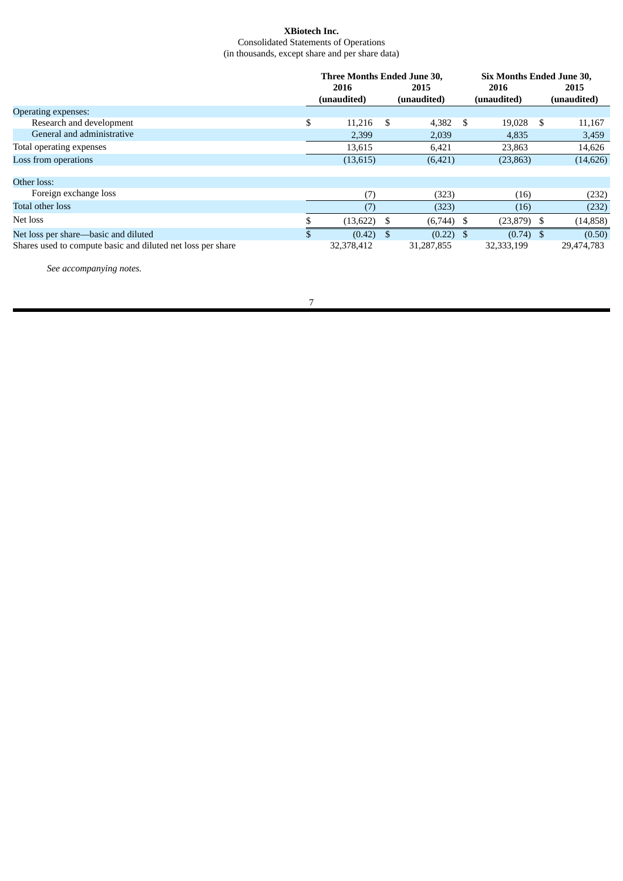## **XBiotech Inc.** Consolidated Statements of Operations (in thousands, except share and per share data)

<span id="page-6-0"></span>

|                                                             |      | <b>Three Months Ended June 30.</b> |      |              |      | <b>Six Months Ended June 30.</b> |   |             |  |
|-------------------------------------------------------------|------|------------------------------------|------|--------------|------|----------------------------------|---|-------------|--|
|                                                             | 2016 |                                    | 2015 |              | 2016 |                                  |   | 2015        |  |
|                                                             |      | (unaudited)                        |      | (unaudited)  |      | (unaudited)                      |   | (unaudited) |  |
| <b>Operating expenses:</b>                                  |      |                                    |      |              |      |                                  |   |             |  |
| Research and development                                    | \$   | 11,216                             | \$.  | 4,382        | -S   | 19,028                           | S | 11,167      |  |
| General and administrative                                  |      | 2,399                              |      | 2,039        |      | 4,835                            |   | 3,459       |  |
| Total operating expenses                                    |      | 13,615                             |      | 6,421        |      | 23,863                           |   | 14,626      |  |
| Loss from operations                                        |      | (13,615)                           |      | (6,421)      |      | (23, 863)                        |   | (14, 626)   |  |
|                                                             |      |                                    |      |              |      |                                  |   |             |  |
| Other loss:                                                 |      |                                    |      |              |      |                                  |   |             |  |
| Foreign exchange loss                                       |      | (7)                                |      | (323)        |      | (16)                             |   | (232)       |  |
| Total other loss                                            |      | (7)                                |      | (323)        |      | (16)                             |   | (232)       |  |
| Net loss                                                    |      | (13, 622)                          | -S   | $(6,744)$ \$ |      | $(23,879)$ \$                    |   | (14, 858)   |  |
| Net loss per share—basic and diluted                        |      | $(0.42)$ \$                        |      | $(0.22)$ \$  |      | $(0.74)$ \$                      |   | (0.50)      |  |
| Shares used to compute basic and diluted net loss per share |      | 32,378,412                         |      | 31,287,855   |      | 32,333,199                       |   | 29,474,783  |  |

*See accompanying notes.*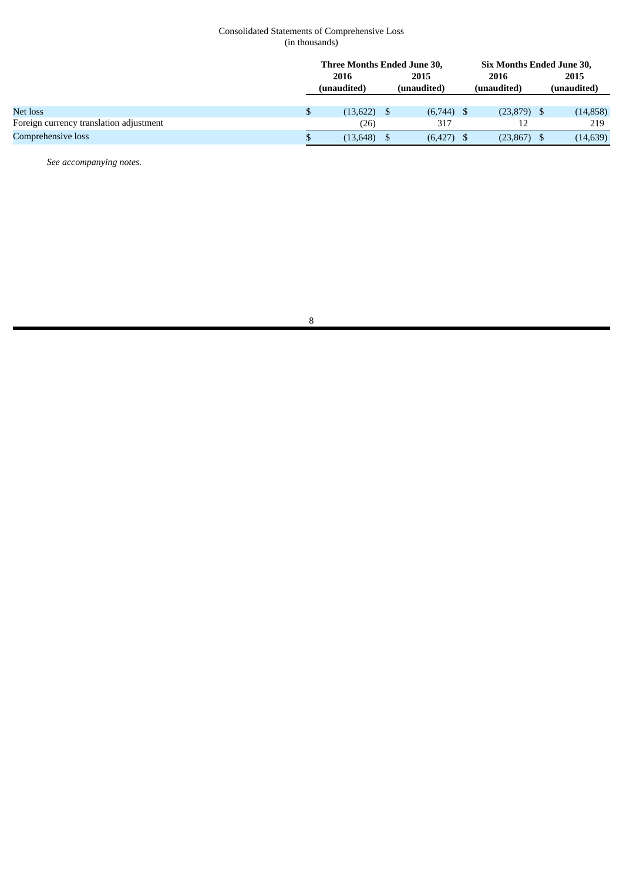## Consolidated Statements of Comprehensive Loss (in thousands)

<span id="page-7-0"></span>

|                                         | Three Months Ended June 30, |             |              |             |               | Six Months Ended June 30, |             |  |
|-----------------------------------------|-----------------------------|-------------|--------------|-------------|---------------|---------------------------|-------------|--|
|                                         | 2016<br>2015                |             |              |             | 2016          |                           | 2015        |  |
|                                         | (unaudited)                 | (unaudited) |              | (unaudited) |               |                           | (unaudited) |  |
|                                         |                             |             |              |             |               |                           |             |  |
| Net loss                                | (13, 622)                   |             | $(6,744)$ \$ |             | $(23,879)$ \$ |                           | (14, 858)   |  |
| Foreign currency translation adjustment | (26)                        |             | 317          |             | 12            |                           | 219         |  |
| Comprehensive loss                      | (13, 648)                   |             | $(6,427)$ \$ |             | (23, 867)     |                           | (14, 639)   |  |

*See accompanying notes.*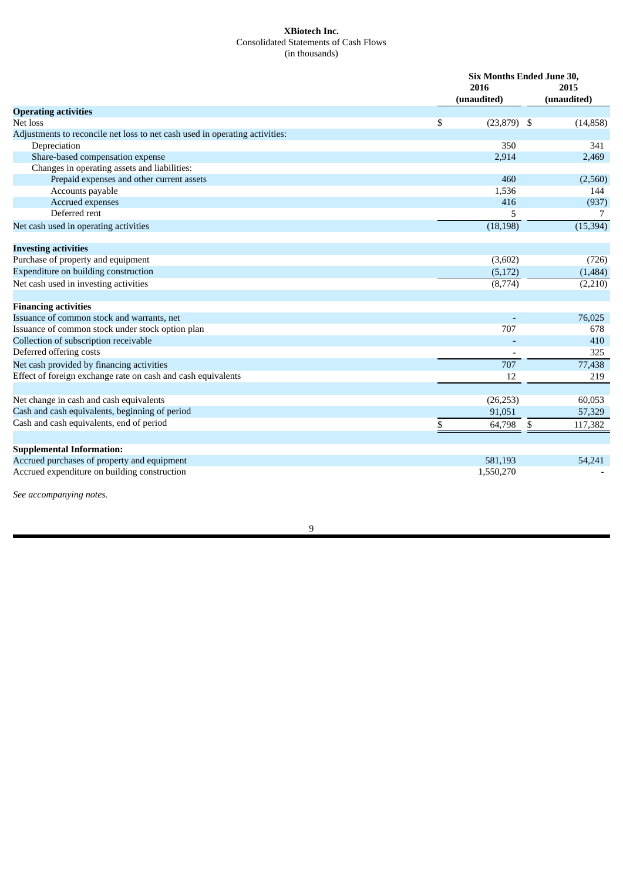## **XBiotech Inc.** Consolidated Statements of Cash Flows (in thousands)

<span id="page-8-0"></span>

|                                                                             | 2016<br>(unaudited) | <b>Six Months Ended June 30,</b> | 2015<br>(unaudited) |
|-----------------------------------------------------------------------------|---------------------|----------------------------------|---------------------|
| <b>Operating activities</b>                                                 |                     |                                  |                     |
| Net loss                                                                    | \$                  | $(23, 879)$ \$                   | (14, 858)           |
| Adjustments to reconcile net loss to net cash used in operating activities: |                     |                                  |                     |
| Depreciation                                                                |                     | 350                              | 341                 |
| Share-based compensation expense                                            |                     | 2,914                            | 2,469               |
| Changes in operating assets and liabilities:                                |                     |                                  |                     |
| Prepaid expenses and other current assets                                   |                     | 460                              | (2,560)             |
| Accounts payable                                                            |                     | 1,536                            | 144                 |
| Accrued expenses                                                            |                     | 416                              | (937)               |
| Deferred rent                                                               |                     | 5                                |                     |
| Net cash used in operating activities                                       |                     | (18, 198)                        | (15, 394)           |
| <b>Investing activities</b>                                                 |                     |                                  |                     |
| Purchase of property and equipment                                          |                     | (3,602)                          | (726)               |
| Expenditure on building construction                                        |                     | (5,172)                          | (1,484)             |
| Net cash used in investing activities                                       |                     | (8,774)                          | (2,210)             |
| <b>Financing activities</b>                                                 |                     |                                  |                     |
| Issuance of common stock and warrants, net                                  |                     |                                  | 76,025              |
| Issuance of common stock under stock option plan                            |                     | 707                              | 678                 |
| Collection of subscription receivable                                       |                     |                                  | 410                 |
| Deferred offering costs                                                     |                     |                                  | 325                 |
| Net cash provided by financing activities                                   |                     | 707                              | 77,438              |
| Effect of foreign exchange rate on cash and cash equivalents                |                     | 12                               | 219                 |
| Net change in cash and cash equivalents                                     |                     | (26, 253)                        | 60,053              |
| Cash and cash equivalents, beginning of period                              |                     | 91,051                           | 57,329              |
| Cash and cash equivalents, end of period                                    | \$                  | \$<br>64,798                     | 117,382             |
|                                                                             |                     |                                  |                     |
| <b>Supplemental Information:</b>                                            |                     |                                  |                     |
| Accrued purchases of property and equipment                                 |                     | 581,193                          | 54,241              |
| Accrued expenditure on building construction                                |                     | 1,550,270                        |                     |
| See accompanying notes.                                                     |                     |                                  |                     |

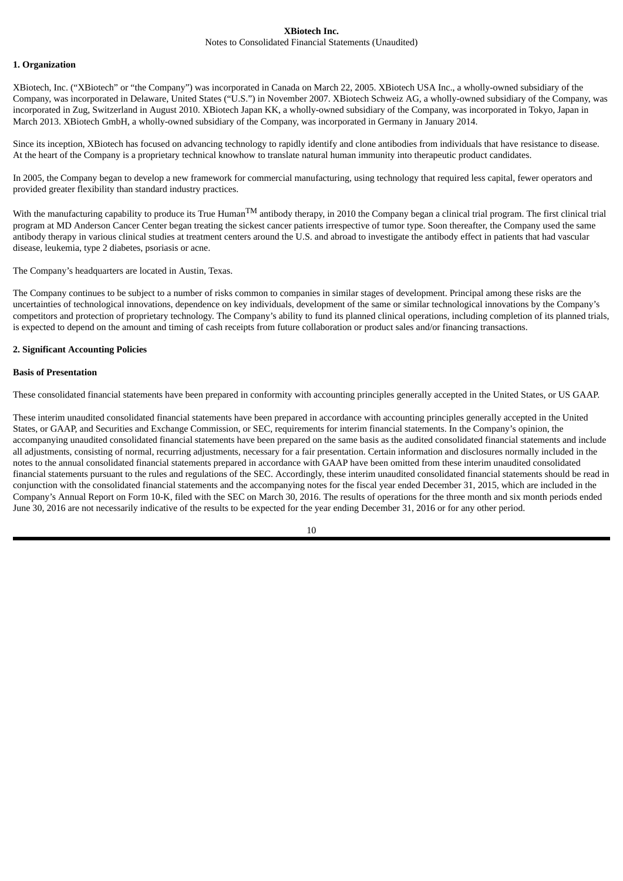#### **XBiotech Inc.** Notes to Consolidated Financial Statements (Unaudited)

#### <span id="page-9-0"></span>**1. Organization**

XBiotech, Inc. ("XBiotech" or "the Company") was incorporated in Canada on March 22, 2005. XBiotech USA Inc., a wholly-owned subsidiary of the Company, was incorporated in Delaware, United States ("U.S.") in November 2007. XBiotech Schweiz AG, a wholly-owned subsidiary of the Company, was incorporated in Zug, Switzerland in August 2010. XBiotech Japan KK, a wholly-owned subsidiary of the Company, was incorporated in Tokyo, Japan in March 2013. XBiotech GmbH, a wholly-owned subsidiary of the Company, was incorporated in Germany in January 2014.

Since its inception, XBiotech has focused on advancing technology to rapidly identify and clone antibodies from individuals that have resistance to disease. At the heart of the Company is a proprietary technical knowhow to translate natural human immunity into therapeutic product candidates.

In 2005, the Company began to develop a new framework for commercial manufacturing, using technology that required less capital, fewer operators and provided greater flexibility than standard industry practices.

With the manufacturing capability to produce its True Human<sup>TM</sup> antibody therapy, in 2010 the Company began a clinical trial program. The first clinical trial program at MD Anderson Cancer Center began treating the sickest cancer patients irrespective of tumor type. Soon thereafter, the Company used the same antibody therapy in various clinical studies at treatment centers around the U.S. and abroad to investigate the antibody effect in patients that had vascular disease, leukemia, type 2 diabetes, psoriasis or acne.

The Company's headquarters are located in Austin, Texas.

The Company continues to be subject to a number of risks common to companies in similar stages of development. Principal among these risks are the uncertainties of technological innovations, dependence on key individuals, development of the same or similar technological innovations by the Company's competitors and protection of proprietary technology. The Company's ability to fund its planned clinical operations, including completion of its planned trials, is expected to depend on the amount and timing of cash receipts from future collaboration or product sales and/or financing transactions.

## **2. Significant Accounting Policies**

#### **Basis of Presentation**

These consolidated financial statements have been prepared in conformity with accounting principles generally accepted in the United States, or US GAAP.

These interim unaudited consolidated financial statements have been prepared in accordance with accounting principles generally accepted in the United States, or GAAP, and Securities and Exchange Commission, or SEC, requirements for interim financial statements. In the Company's opinion, the accompanying unaudited consolidated financial statements have been prepared on the same basis as the audited consolidated financial statements and include all adjustments, consisting of normal, recurring adjustments, necessary for a fair presentation. Certain information and disclosures normally included in the notes to the annual consolidated financial statements prepared in accordance with GAAP have been omitted from these interim unaudited consolidated financial statements pursuant to the rules and regulations of the SEC. Accordingly, these interim unaudited consolidated financial statements should be read in conjunction with the consolidated financial statements and the accompanying notes for the fiscal year ended December 31, 2015, which are included in the Company's Annual Report on Form 10-K, filed with the SEC on March 30, 2016. The results of operations for the three month and six month periods ended June 30, 2016 are not necessarily indicative of the results to be expected for the year ending December 31, 2016 or for any other period.

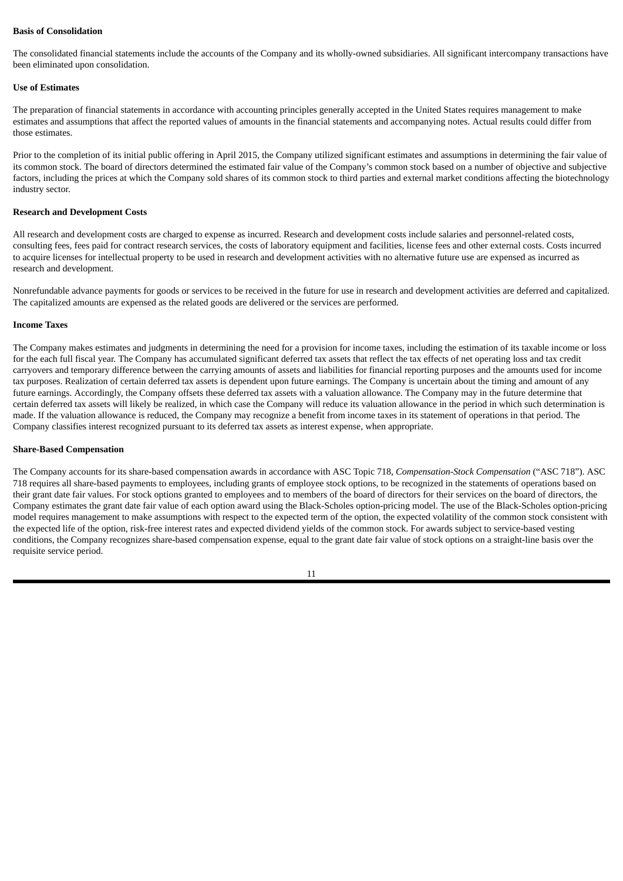## **Basis of Consolidation**

The consolidated financial statements include the accounts of the Company and its wholly-owned subsidiaries. All significant intercompany transactions have been eliminated upon consolidation.

## **Use of Estimates**

The preparation of financial statements in accordance with accounting principles generally accepted in the United States requires management to make estimates and assumptions that affect the reported values of amounts in the financial statements and accompanying notes. Actual results could differ from those estimates.

Prior to the completion of its initial public offering in April 2015, the Company utilized significant estimates and assumptions in determining the fair value of its common stock. The board of directors determined the estimated fair value of the Company's common stock based on a number of objective and subjective factors, including the prices at which the Company sold shares of its common stock to third parties and external market conditions affecting the biotechnology industry sector.

## **Research and Development Costs**

All research and development costs are charged to expense as incurred. Research and development costs include salaries and personnel-related costs, consulting fees, fees paid for contract research services, the costs of laboratory equipment and facilities, license fees and other external costs. Costs incurred to acquire licenses for intellectual property to be used in research and development activities with no alternative future use are expensed as incurred as research and development.

Nonrefundable advance payments for goods or services to be received in the future for use in research and development activities are deferred and capitalized. The capitalized amounts are expensed as the related goods are delivered or the services are performed.

## **Income Taxes**

The Company makes estimates and judgments in determining the need for a provision for income taxes, including the estimation of its taxable income or loss for the each full fiscal year. The Company has accumulated significant deferred tax assets that reflect the tax effects of net operating loss and tax credit carryovers and temporary difference between the carrying amounts of assets and liabilities for financial reporting purposes and the amounts used for income tax purposes. Realization of certain deferred tax assets is dependent upon future earnings. The Company is uncertain about the timing and amount of any future earnings. Accordingly, the Company offsets these deferred tax assets with a valuation allowance. The Company may in the future determine that certain deferred tax assets will likely be realized, in which case the Company will reduce its valuation allowance in the period in which such determination is made. If the valuation allowance is reduced, the Company may recognize a benefit from income taxes in its statement of operations in that period. The Company classifies interest recognized pursuant to its deferred tax assets as interest expense, when appropriate.

## **Share-Based Compensation**

The Company accounts for its share-based compensation awards in accordance with ASC Topic 718, *Compensation-Stock Compensation* ("ASC 718"). ASC 718 requires all share-based payments to employees, including grants of employee stock options, to be recognized in the statements of operations based on their grant date fair values. For stock options granted to employees and to members of the board of directors for their services on the board of directors, the Company estimates the grant date fair value of each option award using the Black-Scholes option-pricing model. The use of the Black-Scholes option-pricing model requires management to make assumptions with respect to the expected term of the option, the expected volatility of the common stock consistent with the expected life of the option, risk-free interest rates and expected dividend yields of the common stock. For awards subject to service-based vesting conditions, the Company recognizes share-based compensation expense, equal to the grant date fair value of stock options on a straight-line basis over the requisite service period.

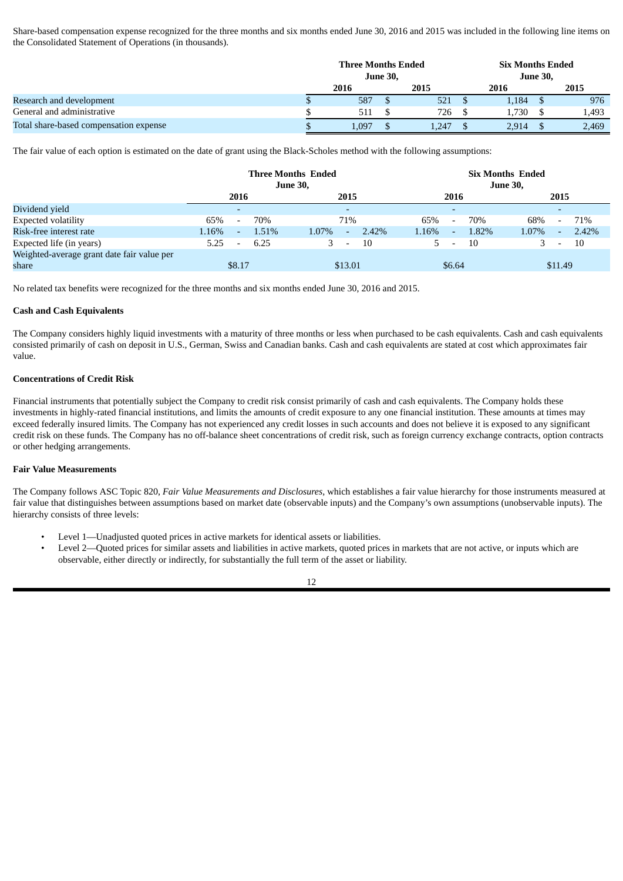Share-based compensation expense recognized for the three months and six months ended June 30, 2016 and 2015 was included in the following line items on the Consolidated Statement of Operations (in thousands).

|                                        | <b>Three Months Ended</b> | <b>June 30,</b> |       | <b>Six Months Ended</b><br><b>June 30,</b> |  |       |
|----------------------------------------|---------------------------|-----------------|-------|--------------------------------------------|--|-------|
|                                        | 2016                      |                 | 2015  | 2016                                       |  | 2015  |
| Research and development               | 587                       |                 | 521   | 1,184                                      |  | 976   |
| General and administrative             | 511                       |                 | 726   | 1.730                                      |  | 1,493 |
| Total share-based compensation expense | .097                      |                 | 1,247 | 2,914                                      |  | 2,469 |

The fair value of each option is estimated on the date of grant using the Black-Scholes method with the following assumptions:

|                                            | <b>Three Months Ended</b><br><b>June 30,</b> |                          |       |       |         |       |       | <b>Six Months Ended</b><br><b>June 30,</b> |       |       |                          |       |
|--------------------------------------------|----------------------------------------------|--------------------------|-------|-------|---------|-------|-------|--------------------------------------------|-------|-------|--------------------------|-------|
|                                            |                                              | 2016                     |       |       | 2015    |       |       | 2016                                       |       |       | 2015                     |       |
| Dividend yield                             |                                              | $\overline{\phantom{a}}$ |       |       |         |       |       | $\overline{\phantom{0}}$                   |       |       | $\overline{\phantom{0}}$ |       |
| <b>Expected volatility</b>                 | 65%                                          | $\overline{\phantom{a}}$ | 70%   |       | 71%     |       | 65%   | $\overline{\phantom{a}}$                   | 70%   | 68%   | $\overline{a}$           | 71%   |
| Risk-free interest rate                    | 1.16%                                        | ÷.                       | 1.51% | 1.07% | $\sim$  | 2.42% | 1.16% | $\sim$                                     | 1.82% | 1.07% | v.                       | 2.42% |
| Expected life (in years)                   | 5.25                                         | $\overline{\phantom{a}}$ | 6.25  |       | ۰       | 10    | 5.    | $\overline{\phantom{a}}$                   | 10    |       | $\overline{\phantom{a}}$ | 10    |
| Weighted-average grant date fair value per |                                              |                          |       |       |         |       |       |                                            |       |       |                          |       |
| share                                      |                                              | \$8.17                   |       |       | \$13.01 |       |       | \$6.64                                     |       |       | \$11.49                  |       |

No related tax benefits were recognized for the three months and six months ended June 30, 2016 and 2015.

## **Cash and Cash Equivalents**

The Company considers highly liquid investments with a maturity of three months or less when purchased to be cash equivalents. Cash and cash equivalents consisted primarily of cash on deposit in U.S., German, Swiss and Canadian banks. Cash and cash equivalents are stated at cost which approximates fair value.

## **Concentrations of Credit Risk**

Financial instruments that potentially subject the Company to credit risk consist primarily of cash and cash equivalents. The Company holds these investments in highly-rated financial institutions, and limits the amounts of credit exposure to any one financial institution. These amounts at times may exceed federally insured limits. The Company has not experienced any credit losses in such accounts and does not believe it is exposed to any significant credit risk on these funds. The Company has no off-balance sheet concentrations of credit risk, such as foreign currency exchange contracts, option contracts or other hedging arrangements.

## **Fair Value Measurements**

The Company follows ASC Topic 820, *Fair Value Measurements and Disclosures*, which establishes a fair value hierarchy for those instruments measured at fair value that distinguishes between assumptions based on market date (observable inputs) and the Company's own assumptions (unobservable inputs). The hierarchy consists of three levels:

- Level 1—Unadjusted quoted prices in active markets for identical assets or liabilities.
- Level 2—Quoted prices for similar assets and liabilities in active markets, quoted prices in markets that are not active, or inputs which are observable, either directly or indirectly, for substantially the full term of the asset or liability.

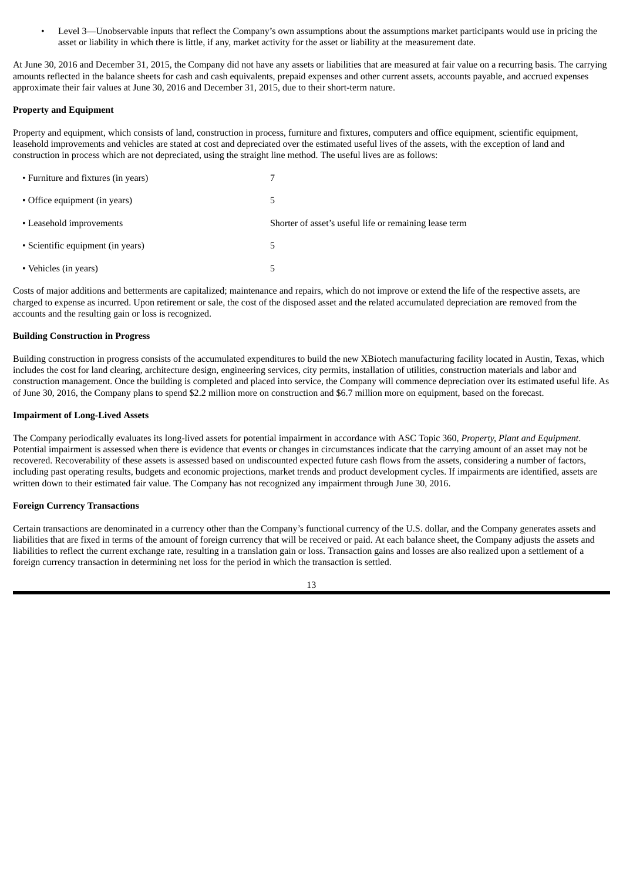• Level 3—Unobservable inputs that reflect the Company's own assumptions about the assumptions market participants would use in pricing the asset or liability in which there is little, if any, market activity for the asset or liability at the measurement date.

At June 30, 2016 and December 31, 2015, the Company did not have any assets or liabilities that are measured at fair value on a recurring basis. The carrying amounts reflected in the balance sheets for cash and cash equivalents, prepaid expenses and other current assets, accounts payable, and accrued expenses approximate their fair values at June 30, 2016 and December 31, 2015, due to their short-term nature.

## **Property and Equipment**

Property and equipment, which consists of land, construction in process, furniture and fixtures, computers and office equipment, scientific equipment, leasehold improvements and vehicles are stated at cost and depreciated over the estimated useful lives of the assets, with the exception of land and construction in process which are not depreciated, using the straight line method. The useful lives are as follows:

| • Furniture and fixtures (in years) |                                                        |
|-------------------------------------|--------------------------------------------------------|
| • Office equipment (in years)       | 5                                                      |
| • Leasehold improvements            | Shorter of asset's useful life or remaining lease term |
| • Scientific equipment (in years)   | 5                                                      |
| • Vehicles (in years)               |                                                        |

Costs of major additions and betterments are capitalized; maintenance and repairs, which do not improve or extend the life of the respective assets, are charged to expense as incurred. Upon retirement or sale, the cost of the disposed asset and the related accumulated depreciation are removed from the accounts and the resulting gain or loss is recognized.

## **Building Construction in Progress**

Building construction in progress consists of the accumulated expenditures to build the new XBiotech manufacturing facility located in Austin, Texas, which includes the cost for land clearing, architecture design, engineering services, city permits, installation of utilities, construction materials and labor and construction management. Once the building is completed and placed into service, the Company will commence depreciation over its estimated useful life. As of June 30, 2016, the Company plans to spend \$2.2 million more on construction and \$6.7 million more on equipment, based on the forecast.

## **Impairment of Long-Lived Assets**

The Company periodically evaluates its long-lived assets for potential impairment in accordance with ASC Topic 360, *Property, Plant and Equipment*. Potential impairment is assessed when there is evidence that events or changes in circumstances indicate that the carrying amount of an asset may not be recovered. Recoverability of these assets is assessed based on undiscounted expected future cash flows from the assets, considering a number of factors, including past operating results, budgets and economic projections, market trends and product development cycles. If impairments are identified, assets are written down to their estimated fair value. The Company has not recognized any impairment through June 30, 2016.

## **Foreign Currency Transactions**

Certain transactions are denominated in a currency other than the Company's functional currency of the U.S. dollar, and the Company generates assets and liabilities that are fixed in terms of the amount of foreign currency that will be received or paid. At each balance sheet, the Company adjusts the assets and liabilities to reflect the current exchange rate, resulting in a translation gain or loss. Transaction gains and losses are also realized upon a settlement of a foreign currency transaction in determining net loss for the period in which the transaction is settled.

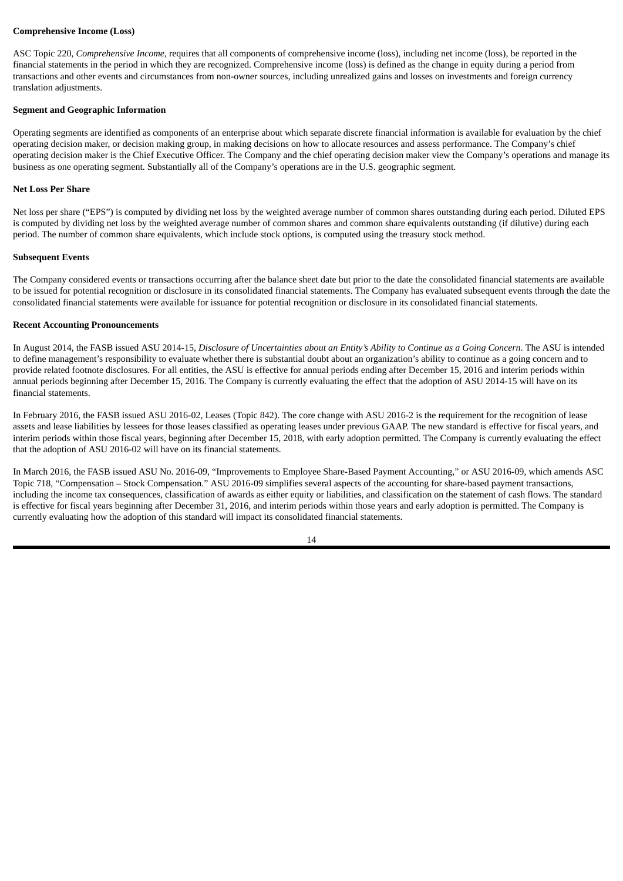#### **Comprehensive Income (Loss)**

ASC Topic 220, *Comprehensive Income*, requires that all components of comprehensive income (loss), including net income (loss), be reported in the financial statements in the period in which they are recognized. Comprehensive income (loss) is defined as the change in equity during a period from transactions and other events and circumstances from non-owner sources, including unrealized gains and losses on investments and foreign currency translation adjustments.

#### **Segment and Geographic Information**

Operating segments are identified as components of an enterprise about which separate discrete financial information is available for evaluation by the chief operating decision maker, or decision making group, in making decisions on how to allocate resources and assess performance. The Company's chief operating decision maker is the Chief Executive Officer. The Company and the chief operating decision maker view the Company's operations and manage its business as one operating segment. Substantially all of the Company's operations are in the U.S. geographic segment.

## **Net Loss Per Share**

Net loss per share ("EPS") is computed by dividing net loss by the weighted average number of common shares outstanding during each period. Diluted EPS is computed by dividing net loss by the weighted average number of common shares and common share equivalents outstanding (if dilutive) during each period. The number of common share equivalents, which include stock options, is computed using the treasury stock method.

#### **Subsequent Events**

The Company considered events or transactions occurring after the balance sheet date but prior to the date the consolidated financial statements are available to be issued for potential recognition or disclosure in its consolidated financial statements. The Company has evaluated subsequent events through the date the consolidated financial statements were available for issuance for potential recognition or disclosure in its consolidated financial statements.

#### **Recent Accounting Pronouncements**

In August 2014, the FASB issued ASU 2014-15, Disclosure of Uncertainties about an Entity's Ability to Continue as a Going Concern. The ASU is intended to define management's responsibility to evaluate whether there is substantial doubt about an organization's ability to continue as a going concern and to provide related footnote disclosures. For all entities, the ASU is effective for annual periods ending after December 15, 2016 and interim periods within annual periods beginning after December 15, 2016. The Company is currently evaluating the effect that the adoption of ASU 2014-15 will have on its financial statements.

In February 2016, the FASB issued ASU 2016-02, Leases (Topic 842). The core change with ASU 2016-2 is the requirement for the recognition of lease assets and lease liabilities by lessees for those leases classified as operating leases under previous GAAP. The new standard is effective for fiscal years, and interim periods within those fiscal years, beginning after December 15, 2018, with early adoption permitted. The Company is currently evaluating the effect that the adoption of ASU 2016-02 will have on its financial statements.

In March 2016, the FASB issued ASU No. 2016-09, "Improvements to Employee Share-Based Payment Accounting," or ASU 2016-09, which amends ASC Topic 718, "Compensation – Stock Compensation." ASU 2016-09 simplifies several aspects of the accounting for share-based payment transactions, including the income tax consequences, classification of awards as either equity or liabilities, and classification on the statement of cash flows. The standard is effective for fiscal years beginning after December 31, 2016, and interim periods within those years and early adoption is permitted. The Company is currently evaluating how the adoption of this standard will impact its consolidated financial statements.

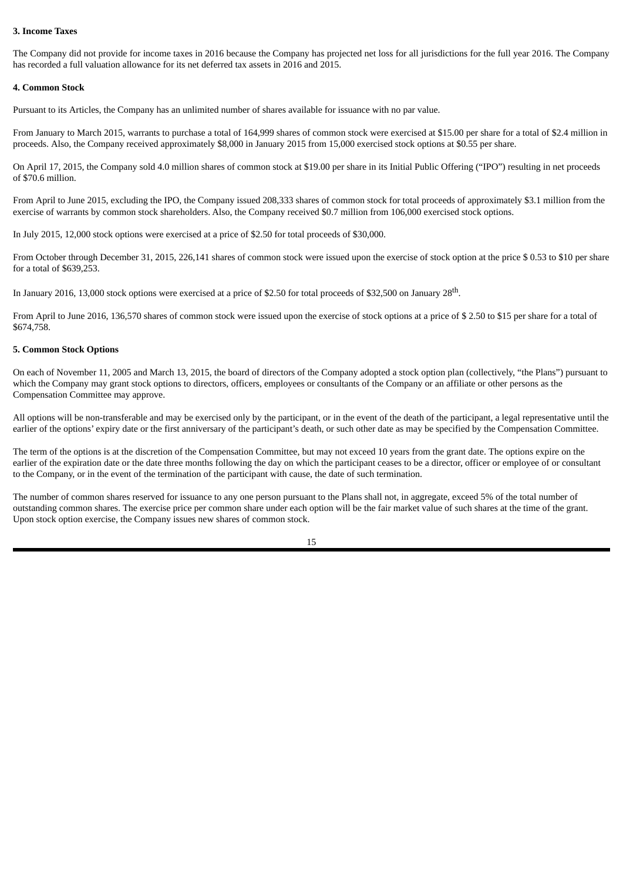### **3. Income Taxes**

The Company did not provide for income taxes in 2016 because the Company has projected net loss for all jurisdictions for the full year 2016. The Company has recorded a full valuation allowance for its net deferred tax assets in 2016 and 2015.

#### **4. Common Stock**

Pursuant to its Articles, the Company has an unlimited number of shares available for issuance with no par value.

From January to March 2015, warrants to purchase a total of 164,999 shares of common stock were exercised at \$15.00 per share for a total of \$2.4 million in proceeds. Also, the Company received approximately \$8,000 in January 2015 from 15,000 exercised stock options at \$0.55 per share.

On April 17, 2015, the Company sold 4.0 million shares of common stock at \$19.00 per share in its Initial Public Offering ("IPO") resulting in net proceeds of \$70.6 million.

From April to June 2015, excluding the IPO, the Company issued 208,333 shares of common stock for total proceeds of approximately \$3.1 million from the exercise of warrants by common stock shareholders. Also, the Company received \$0.7 million from 106,000 exercised stock options.

In July 2015, 12,000 stock options were exercised at a price of \$2.50 for total proceeds of \$30,000.

From October through December 31, 2015, 226,141 shares of common stock were issued upon the exercise of stock option at the price \$ 0.53 to \$10 per share for a total of \$639,253.

In January 2016, 13,000 stock options were exercised at a price of \$2.50 for total proceeds of \$32,500 on January 28 $^{\rm th}$ .

From April to June 2016, 136,570 shares of common stock were issued upon the exercise of stock options at a price of \$ 2.50 to \$15 per share for a total of \$674,758.

### **5. Common Stock Options**

On each of November 11, 2005 and March 13, 2015, the board of directors of the Company adopted a stock option plan (collectively, "the Plans") pursuant to which the Company may grant stock options to directors, officers, employees or consultants of the Company or an affiliate or other persons as the Compensation Committee may approve.

All options will be non-transferable and may be exercised only by the participant, or in the event of the death of the participant, a legal representative until the earlier of the options' expiry date or the first anniversary of the participant's death, or such other date as may be specified by the Compensation Committee.

The term of the options is at the discretion of the Compensation Committee, but may not exceed 10 years from the grant date. The options expire on the earlier of the expiration date or the date three months following the day on which the participant ceases to be a director, officer or employee of or consultant to the Company, or in the event of the termination of the participant with cause, the date of such termination.

The number of common shares reserved for issuance to any one person pursuant to the Plans shall not, in aggregate, exceed 5% of the total number of outstanding common shares. The exercise price per common share under each option will be the fair market value of such shares at the time of the grant. Upon stock option exercise, the Company issues new shares of common stock.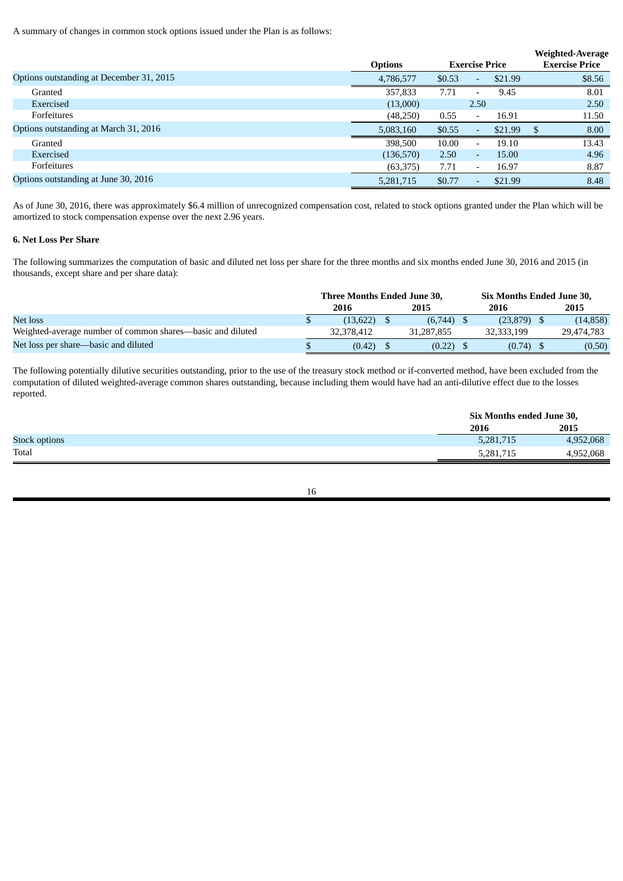A summary of changes in common stock options issued under the Plan is as follows:

|                                          |                |        |                          |         |    | Weighted-Average      |
|------------------------------------------|----------------|--------|--------------------------|---------|----|-----------------------|
|                                          | <b>Options</b> |        | <b>Exercise Price</b>    |         |    | <b>Exercise Price</b> |
| Options outstanding at December 31, 2015 | 4,786,577      | \$0.53 | ٠                        | \$21.99 |    | \$8.56                |
| Granted                                  | 357,833        | 7.71   | $\overline{\phantom{0}}$ | 9.45    |    | 8.01                  |
| Exercised                                | (13,000)       |        | 2.50                     |         |    | 2.50                  |
| Forfeitures                              | (48,250)       | 0.55   | $\overline{\phantom{a}}$ | 16.91   |    | 11.50                 |
| Options outstanding at March 31, 2016    | 5,083,160      | \$0.55 | $\overline{\phantom{a}}$ | \$21.99 | -S | 8.00                  |
| Granted                                  | 398,500        | 10.00  | $\overline{\phantom{a}}$ | 19.10   |    | 13.43                 |
| Exercised                                | (136, 570)     | 2.50   | $\overline{\phantom{a}}$ | 15.00   |    | 4.96                  |
| Forfeitures                              | (63, 375)      | 7.71   | $\overline{\phantom{a}}$ | 16.97   |    | 8.87                  |
| Options outstanding at June 30, 2016     | 5,281,715      | \$0.77 | ٠                        | \$21.99 |    | 8.48                  |

As of June 30, 2016, there was approximately \$6.4 million of unrecognized compensation cost, related to stock options granted under the Plan which will be amortized to stock compensation expense over the next 2.96 years.

#### **6. Net Loss Per Share**

The following summarizes the computation of basic and diluted net loss per share for the three months and six months ended June 30, 2016 and 2015 (in thousands, except share and per share data):

|                                                            | <b>Three Months Ended June 30.</b> |  | Six Months Ended June 30. |  |            |  |            |
|------------------------------------------------------------|------------------------------------|--|---------------------------|--|------------|--|------------|
|                                                            | 2016                               |  | 2015                      |  | 2016       |  | 2015       |
| Net loss                                                   | (13,622)                           |  | $(6.744)$ \$              |  | (23, 879)  |  | (14, 858)  |
| Weighted-average number of common shares-basic and diluted | 32,378,412                         |  | 31.287.855                |  | 32,333,199 |  | 29.474.783 |
| Net loss per share—basic and diluted                       | (0.42)                             |  | (0.22)                    |  | (0.74)     |  | (0.50)     |

The following potentially dilutive securities outstanding, prior to the use of the treasury stock method or if-converted method, have been excluded from the computation of diluted weighted-average common shares outstanding, because including them would have had an anti-dilutive effect due to the losses reported.

|                      |           | Six Months ended June 30, |
|----------------------|-----------|---------------------------|
|                      | 2016      | 2015                      |
| <b>Stock options</b> | 5,281,715 | 4,952,068                 |
| Total                | 5,281,715 | 4,952,068                 |

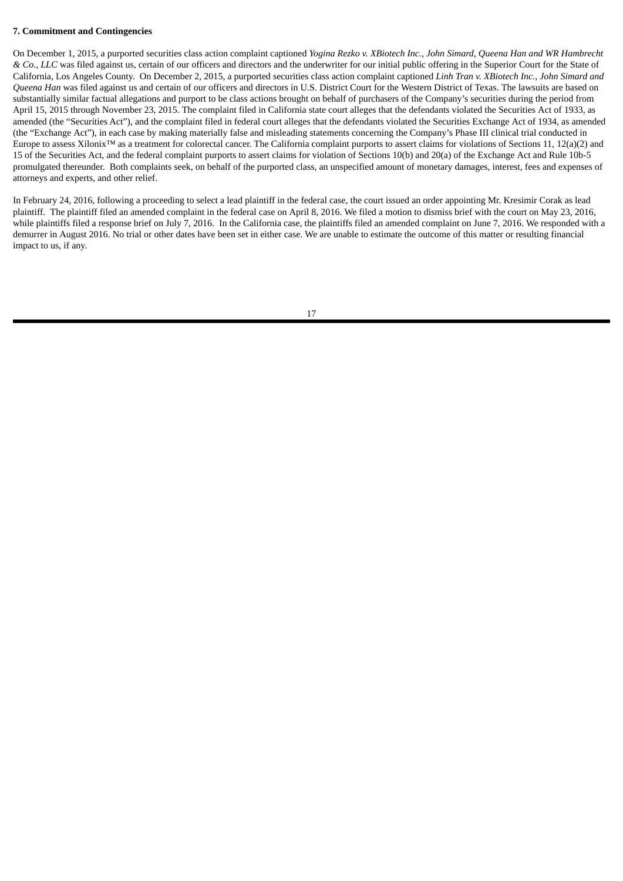## **7. Commitment and Contingencies**

On December 1, 2015, a purported securities class action complaint captioned Yoging Rezko v. XBiotech Inc., John Simard, Oueeng Han and WR Hambrecht *& Co., LLC* was filed against us, certain of our officers and directors and the underwriter for our initial public offering in the Superior Court for the State of California, Los Angeles County. On December 2, 2015, a purported securities class action complaint captioned *Linh Tran v. XBiotech Inc., John Simard and Queena Han* was filed against us and certain of our officers and directors in U.S. District Court for the Western District of Texas. The lawsuits are based on substantially similar factual allegations and purport to be class actions brought on behalf of purchasers of the Company's securities during the period from April 15, 2015 through November 23, 2015. The complaint filed in California state court alleges that the defendants violated the Securities Act of 1933, as amended (the "Securities Act"), and the complaint filed in federal court alleges that the defendants violated the Securities Exchange Act of 1934, as amended (the "Exchange Act"), in each case by making materially false and misleading statements concerning the Company's Phase III clinical trial conducted in Europe to assess Xilonix™ as a treatment for colorectal cancer. The California complaint purports to assert claims for violations of Sections 11, 12(a)(2) and 15 of the Securities Act, and the federal complaint purports to assert claims for violation of Sections 10(b) and 20(a) of the Exchange Act and Rule 10b-5 promulgated thereunder. Both complaints seek, on behalf of the purported class, an unspecified amount of monetary damages, interest, fees and expenses of attorneys and experts, and other relief.

In February 24, 2016, following a proceeding to select a lead plaintiff in the federal case, the court issued an order appointing Mr. Kresimir Corak as lead plaintiff. The plaintiff filed an amended complaint in the federal case on April 8, 2016. We filed a motion to dismiss brief with the court on May 23, 2016, while plaintiffs filed a response brief on July 7, 2016. In the California case, the plaintiffs filed an amended complaint on June 7, 2016. We responded with a demurrer in August 2016. No trial or other dates have been set in either case. We are unable to estimate the outcome of this matter or resulting financial impact to us, if any.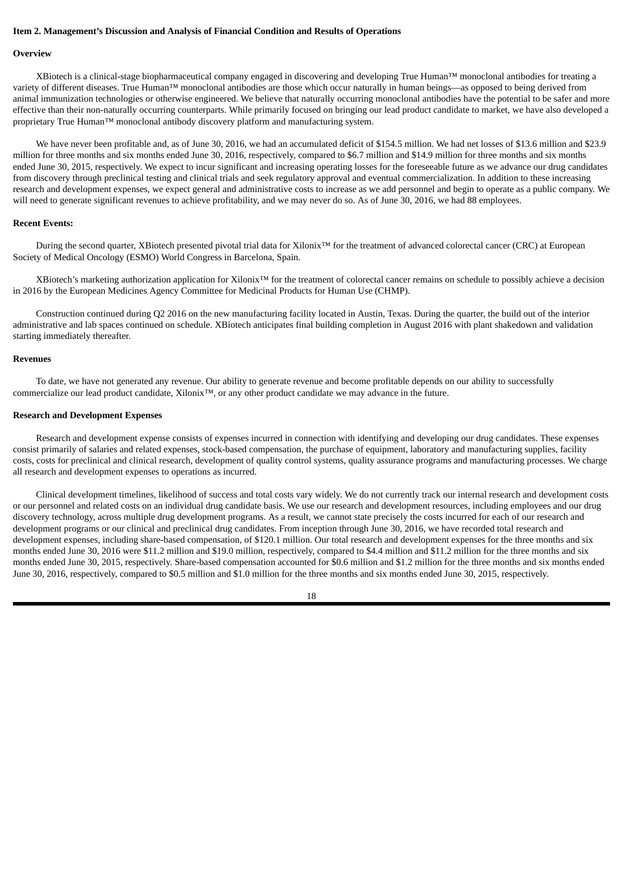#### <span id="page-17-0"></span>**Item 2. Management's Discussion and Analysis of Financial Condition and Results of Operations**

#### **Overview**

XBiotech is a clinical-stage biopharmaceutical company engaged in discovering and developing True Human™ monoclonal antibodies for treating a variety of different diseases. True Human™ monoclonal antibodies are those which occur naturally in human beings—as opposed to being derived from animal immunization technologies or otherwise engineered. We believe that naturally occurring monoclonal antibodies have the potential to be safer and more effective than their non-naturally occurring counterparts. While primarily focused on bringing our lead product candidate to market, we have also developed a proprietary True Human™ monoclonal antibody discovery platform and manufacturing system.

We have never been profitable and, as of June 30, 2016, we had an accumulated deficit of \$154.5 million. We had net losses of \$13.6 million and \$23.9 million for three months and six months ended June 30, 2016, respectively, compared to \$6.7 million and \$14.9 million for three months and six months ended June 30, 2015, respectively. We expect to incur significant and increasing operating losses for the foreseeable future as we advance our drug candidates from discovery through preclinical testing and clinical trials and seek regulatory approval and eventual commercialization. In addition to these increasing research and development expenses, we expect general and administrative costs to increase as we add personnel and begin to operate as a public company. We will need to generate significant revenues to achieve profitability, and we may never do so. As of June 30, 2016, we had 88 employees.

#### **Recent Events:**

During the second quarter, XBiotech presented pivotal trial data for Xilonix™ for the treatment of advanced colorectal cancer (CRC) at European Society of Medical Oncology (ESMO) World Congress in Barcelona, Spain.

XBiotech's marketing authorization application for Xilonix™ for the treatment of colorectal cancer remains on schedule to possibly achieve a decision in 2016 by the European Medicines Agency Committee for Medicinal Products for Human Use (CHMP).

Construction continued during Q2 2016 on the new manufacturing facility located in Austin, Texas. During the quarter, the build out of the interior administrative and lab spaces continued on schedule. XBiotech anticipates final building completion in August 2016 with plant shakedown and validation starting immediately thereafter.

#### **Revenues**

To date, we have not generated any revenue. Our ability to generate revenue and become profitable depends on our ability to successfully commercialize our lead product candidate, Xilonix™, or any other product candidate we may advance in the future.

#### **Research and Development Expenses**

Research and development expense consists of expenses incurred in connection with identifying and developing our drug candidates. These expenses consist primarily of salaries and related expenses, stock-based compensation, the purchase of equipment, laboratory and manufacturing supplies, facility costs, costs for preclinical and clinical research, development of quality control systems, quality assurance programs and manufacturing processes. We charge all research and development expenses to operations as incurred.

Clinical development timelines, likelihood of success and total costs vary widely. We do not currently track our internal research and development costs or our personnel and related costs on an individual drug candidate basis. We use our research and development resources, including employees and our drug discovery technology, across multiple drug development programs. As a result, we cannot state precisely the costs incurred for each of our research and development programs or our clinical and preclinical drug candidates. From inception through June 30, 2016, we have recorded total research and development expenses, including share-based compensation, of \$120.1 million. Our total research and development expenses for the three months and six months ended June 30, 2016 were \$11.2 million and \$19.0 million, respectively, compared to \$4.4 million and \$11.2 million for the three months and six months ended June 30, 2015, respectively. Share-based compensation accounted for \$0.6 million and \$1.2 million for the three months and six months ended June 30, 2016, respectively, compared to \$0.5 million and \$1.0 million for the three months and six months ended June 30, 2015, respectively.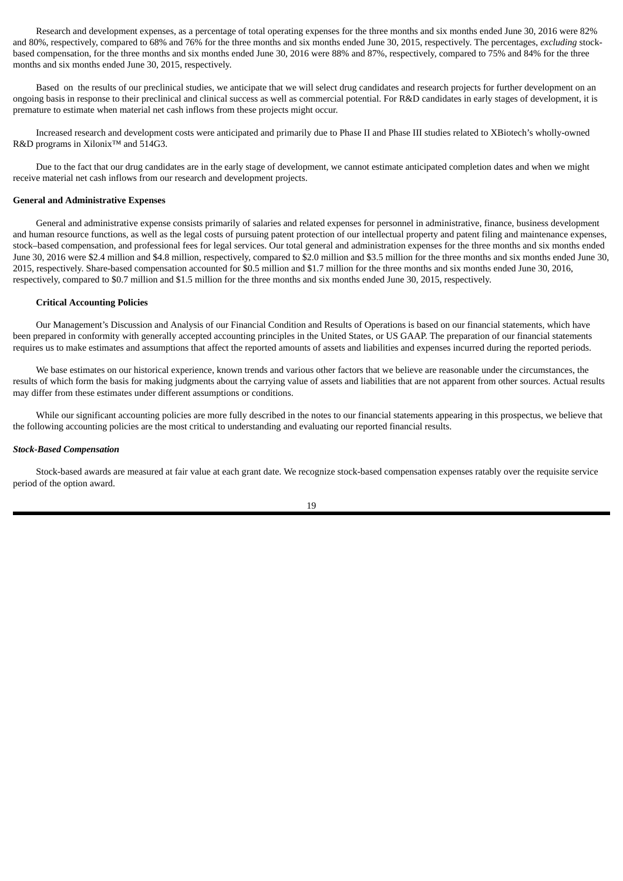Research and development expenses, as a percentage of total operating expenses for the three months and six months ended June 30, 2016 were 82% and 80%, respectively, compared to 68% and 76% for the three months and six months ended June 30, 2015, respectively. The percentages, *excluding* stockbased compensation, for the three months and six months ended June 30, 2016 were 88% and 87%, respectively, compared to 75% and 84% for the three months and six months ended June 30, 2015, respectively.

Based on the results of our preclinical studies, we anticipate that we will select drug candidates and research projects for further development on an ongoing basis in response to their preclinical and clinical success as well as commercial potential. For R&D candidates in early stages of development, it is premature to estimate when material net cash inflows from these projects might occur.

Increased research and development costs were anticipated and primarily due to Phase II and Phase III studies related to XBiotech's wholly-owned R&D programs in Xilonix™ and 514G3.

Due to the fact that our drug candidates are in the early stage of development, we cannot estimate anticipated completion dates and when we might receive material net cash inflows from our research and development projects.

#### **General and Administrative Expenses**

General and administrative expense consists primarily of salaries and related expenses for personnel in administrative, finance, business development and human resource functions, as well as the legal costs of pursuing patent protection of our intellectual property and patent filing and maintenance expenses, stock–based compensation, and professional fees for legal services. Our total general and administration expenses for the three months and six months ended June 30, 2016 were \$2.4 million and \$4.8 million, respectively, compared to \$2.0 million and \$3.5 million for the three months and six months ended June 30, 2015, respectively. Share-based compensation accounted for \$0.5 million and \$1.7 million for the three months and six months ended June 30, 2016, respectively, compared to \$0.7 million and \$1.5 million for the three months and six months ended June 30, 2015, respectively.

#### **Critical Accounting Policies**

Our Management's Discussion and Analysis of our Financial Condition and Results of Operations is based on our financial statements, which have been prepared in conformity with generally accepted accounting principles in the United States, or US GAAP. The preparation of our financial statements requires us to make estimates and assumptions that affect the reported amounts of assets and liabilities and expenses incurred during the reported periods.

We base estimates on our historical experience, known trends and various other factors that we believe are reasonable under the circumstances, the results of which form the basis for making judgments about the carrying value of assets and liabilities that are not apparent from other sources. Actual results may differ from these estimates under different assumptions or conditions.

While our significant accounting policies are more fully described in the notes to our financial statements appearing in this prospectus, we believe that the following accounting policies are the most critical to understanding and evaluating our reported financial results.

#### *Stock-Based Compensation*

Stock-based awards are measured at fair value at each grant date. We recognize stock-based compensation expenses ratably over the requisite service period of the option award.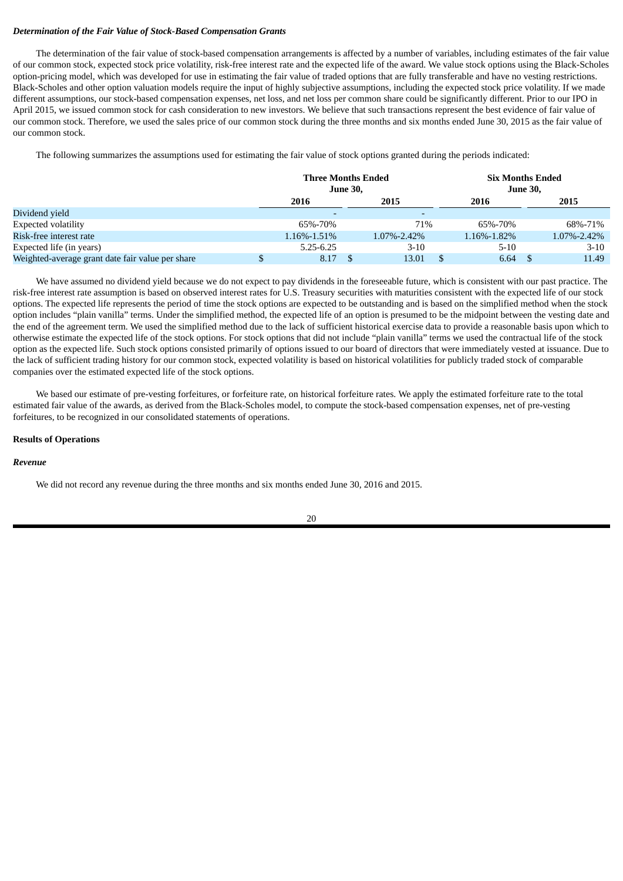#### *Determination of the Fair Value of Stock-Based Compensation Grants*

The determination of the fair value of stock-based compensation arrangements is affected by a number of variables, including estimates of the fair value of our common stock, expected stock price volatility, risk-free interest rate and the expected life of the award. We value stock options using the Black-Scholes option-pricing model, which was developed for use in estimating the fair value of traded options that are fully transferable and have no vesting restrictions. Black-Scholes and other option valuation models require the input of highly subjective assumptions, including the expected stock price volatility. If we made different assumptions, our stock-based compensation expenses, net loss, and net loss per common share could be significantly different. Prior to our IPO in April 2015, we issued common stock for cash consideration to new investors. We believe that such transactions represent the best evidence of fair value of our common stock. Therefore, we used the sales price of our common stock during the three months and six months ended June 30, 2015 as the fair value of our common stock.

The following summarizes the assumptions used for estimating the fair value of stock options granted during the periods indicated:

|                                                  | <b>Three Months Ended</b> | <b>June 30,</b> |             | <b>Six Months Ended</b><br><b>June 30,</b> |  |             |  |  |
|--------------------------------------------------|---------------------------|-----------------|-------------|--------------------------------------------|--|-------------|--|--|
|                                                  | 2016                      |                 | 2015        | 2016                                       |  | 2015        |  |  |
| Dividend yield                                   |                           |                 |             |                                            |  |             |  |  |
| Expected volatility                              | 65%-70%                   |                 | 71%         | 65%-70%                                    |  | 68%-71%     |  |  |
| Risk-free interest rate                          | 1.16%-1.51%               |                 | 1.07%-2.42% | 1.16%-1.82%                                |  | 1.07%-2.42% |  |  |
| Expected life (in years)                         | 5.25-6.25                 |                 | $3-10$      | $5 - 10$                                   |  | $3-10$      |  |  |
| Weighted-average grant date fair value per share | 8.17                      |                 | 13.01       | 6.64                                       |  | 11.49       |  |  |

We have assumed no dividend yield because we do not expect to pay dividends in the foreseeable future, which is consistent with our past practice. The risk-free interest rate assumption is based on observed interest rates for U.S. Treasury securities with maturities consistent with the expected life of our stock options. The expected life represents the period of time the stock options are expected to be outstanding and is based on the simplified method when the stock option includes "plain vanilla" terms. Under the simplified method, the expected life of an option is presumed to be the midpoint between the vesting date and the end of the agreement term. We used the simplified method due to the lack of sufficient historical exercise data to provide a reasonable basis upon which to otherwise estimate the expected life of the stock options. For stock options that did not include "plain vanilla" terms we used the contractual life of the stock option as the expected life. Such stock options consisted primarily of options issued to our board of directors that were immediately vested at issuance. Due to the lack of sufficient trading history for our common stock, expected volatility is based on historical volatilities for publicly traded stock of comparable companies over the estimated expected life of the stock options.

We based our estimate of pre-vesting forfeitures, or forfeiture rate, on historical forfeiture rates. We apply the estimated forfeiture rate to the total estimated fair value of the awards, as derived from the Black-Scholes model, to compute the stock-based compensation expenses, net of pre-vesting forfeitures, to be recognized in our consolidated statements of operations.

### **Results of Operations**

#### *Revenue*

We did not record any revenue during the three months and six months ended June 30, 2016 and 2015.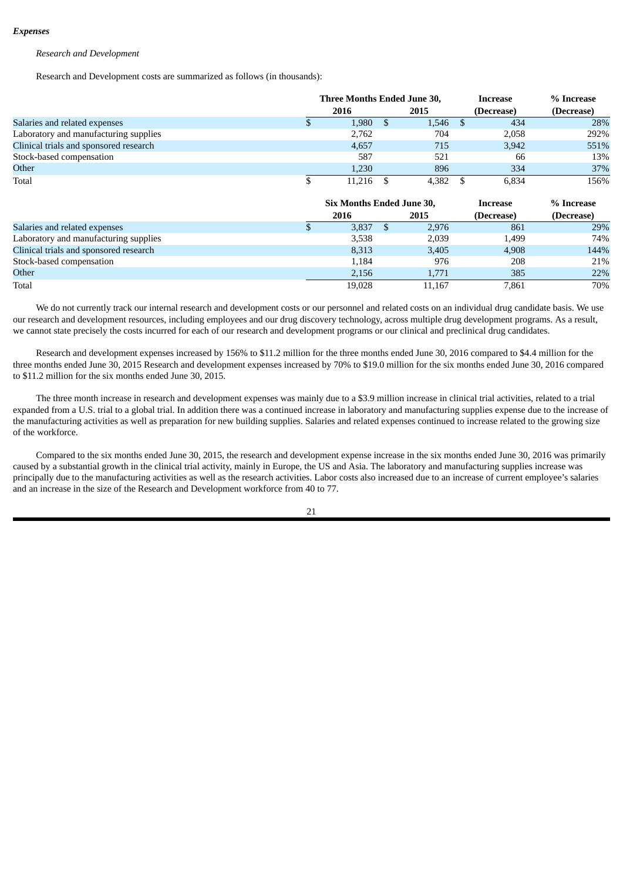#### *Expenses*

#### *Research and Development*

Research and Development costs are summarized as follows (in thousands):

|                                        | <b>Three Months Ended June 30,</b> |  |       |  | Increase   | % Increase |
|----------------------------------------|------------------------------------|--|-------|--|------------|------------|
|                                        | 2016                               |  | 2015  |  | (Decrease) | (Decrease) |
| Salaries and related expenses          | 1,980                              |  | 1.546 |  | 434        | 28%        |
| Laboratory and manufacturing supplies  | 2,762                              |  | 704   |  | 2.058      | 292%       |
| Clinical trials and sponsored research | 4,657                              |  | 715   |  | 3,942      | 551%       |
| Stock-based compensation               | 587                                |  | 521   |  | 66         | 13%        |
| Other                                  | 1,230                              |  | 896   |  | 334        | 37%        |
| Total                                  | 11,216                             |  | 4,382 |  | 6,834      | 156%       |

|                                        | Six Months Ended June 30, |        | Increase   | % Increase |
|----------------------------------------|---------------------------|--------|------------|------------|
|                                        | 2016                      | 2015   | (Decrease) | (Decrease) |
| Salaries and related expenses          | 3,837                     | 2,976  | 861        | 29%        |
| Laboratory and manufacturing supplies  | 3,538                     | 2,039  | 1,499      | 74%        |
| Clinical trials and sponsored research | 8,313                     | 3,405  | 4,908      | 144%       |
| Stock-based compensation               | 1,184                     | 976    | 208        | 21%        |
| Other                                  | 2.156                     | 1.771  | 385        | 22%        |
| Total                                  | 19.028                    | 11.167 | 7.861      | 70%        |

We do not currently track our internal research and development costs or our personnel and related costs on an individual drug candidate basis. We use our research and development resources, including employees and our drug discovery technology, across multiple drug development programs. As a result, we cannot state precisely the costs incurred for each of our research and development programs or our clinical and preclinical drug candidates.

Research and development expenses increased by 156% to \$11.2 million for the three months ended June 30, 2016 compared to \$4.4 million for the three months ended June 30, 2015 Research and development expenses increased by 70% to \$19.0 million for the six months ended June 30, 2016 compared to \$11.2 million for the six months ended June 30, 2015.

The three month increase in research and development expenses was mainly due to a \$3.9 million increase in clinical trial activities, related to a trial expanded from a U.S. trial to a global trial. In addition there was a continued increase in laboratory and manufacturing supplies expense due to the increase of the manufacturing activities as well as preparation for new building supplies. Salaries and related expenses continued to increase related to the growing size of the workforce.

Compared to the six months ended June 30, 2015, the research and development expense increase in the six months ended June 30, 2016 was primarily caused by a substantial growth in the clinical trial activity, mainly in Europe, the US and Asia. The laboratory and manufacturing supplies increase was principally due to the manufacturing activities as well as the research activities. Labor costs also increased due to an increase of current employee's salaries and an increase in the size of the Research and Development workforce from 40 to 77.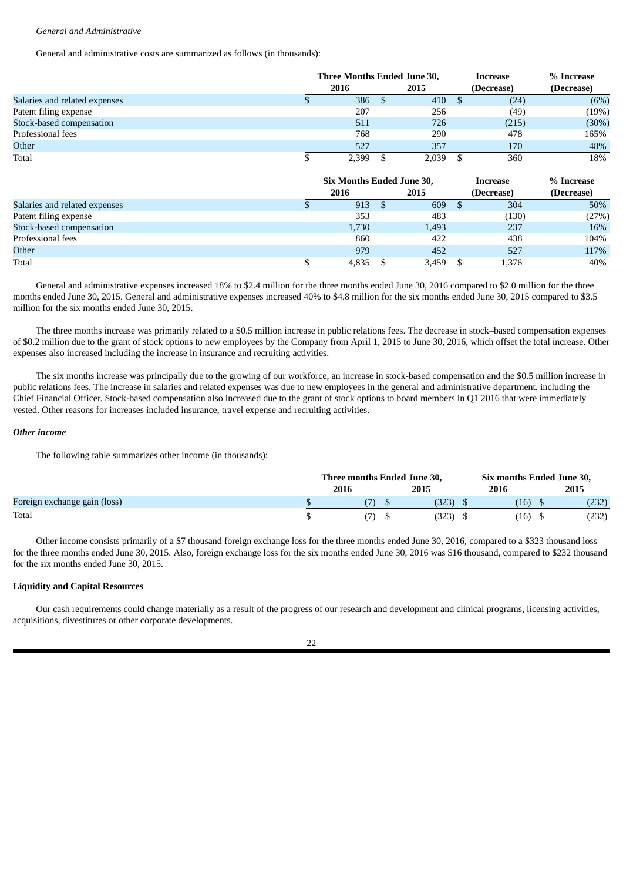#### *General and Administrative*

General and administrative costs are summarized as follows (in thousands):

|                               | Three Months Ended June 30, |       |  |       | Increase   | % Increase |
|-------------------------------|-----------------------------|-------|--|-------|------------|------------|
|                               | 2016                        |       |  | 2015  | (Decrease) | (Decrease) |
| Salaries and related expenses |                             | 386   |  | 410   | (24)       | (6%)       |
| Patent filing expense         |                             | 207   |  | 256   | (49)       | (19%)      |
| Stock-based compensation      |                             | 511   |  | 726   | (215)      | (30%)      |
| Professional fees             |                             | 768   |  | 290   | 478        | 165%       |
| Other                         |                             | 527   |  | 357   | 170        | 48%        |
| Total                         |                             | 2,399 |  | 2,039 | 360        | 18%        |

|                               | Six Months Ended June 30, |       | Increase   | % Increase |
|-------------------------------|---------------------------|-------|------------|------------|
|                               | 2016                      | 2015  | (Decrease) | (Decrease) |
| Salaries and related expenses | 913                       | 609   | 304        | 50%        |
| Patent filing expense         | 353                       | 483   | (130)      | (27%)      |
| Stock-based compensation      | 1,730                     | 1,493 | 237        | 16%        |
| Professional fees             | 860                       | 422   | 438        | 104%       |
| Other                         | 979                       | 452   | 527        | 117%       |
| Total                         | 4.835                     | 3,459 | 1,376      | 40%        |

General and administrative expenses increased 18% to \$2.4 million for the three months ended June 30, 2016 compared to \$2.0 million for the three months ended June 30, 2015. General and administrative expenses increased 40% to \$4.8 million for the six months ended June 30, 2015 compared to \$3.5 million for the six months ended June 30, 2015.

The three months increase was primarily related to a \$0.5 million increase in public relations fees. The decrease in stock–based compensation expenses of \$0.2 million due to the grant of stock options to new employees by the Company from April 1, 2015 to June 30, 2016, which offset the total increase. Other expenses also increased including the increase in insurance and recruiting activities.

The six months increase was principally due to the growing of our workforce, an increase in stock-based compensation and the \$0.5 million increase in public relations fees. The increase in salaries and related expenses was due to new employees in the general and administrative department, including the Chief Financial Officer. Stock-based compensation also increased due to the grant of stock options to board members in Q1 2016 that were immediately vested. Other reasons for increases included insurance, travel expense and recruiting activities.

## *Other income*

The following table summarizes other income (in thousands):

|                              | Three months Ended June 30, |  |       | Six months Ended June 30, |      |  |       |
|------------------------------|-----------------------------|--|-------|---------------------------|------|--|-------|
|                              | 2016                        |  | 2015  |                           | 2016 |  | 2015  |
| Foreign exchange gain (loss) |                             |  | (323) |                           | (16) |  | (232) |
| Total                        |                             |  | (323) |                           | 16)  |  | (232) |

Other income consists primarily of a \$7 thousand foreign exchange loss for the three months ended June 30, 2016, compared to a \$323 thousand loss for the three months ended June 30, 2015. Also, foreign exchange loss for the six months ended June 30, 2016 was \$16 thousand, compared to \$232 thousand for the six months ended June 30, 2015.

## **Liquidity and Capital Resources**

Our cash requirements could change materially as a result of the progress of our research and development and clinical programs, licensing activities, acquisitions, divestitures or other corporate developments.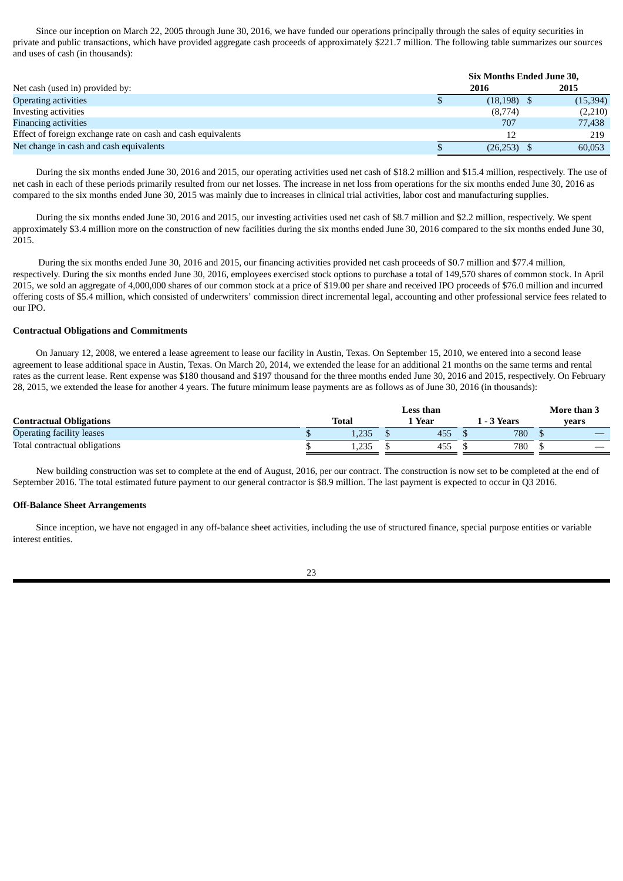Since our inception on March 22, 2005 through June 30, 2016, we have funded our operations principally through the sales of equity securities in private and public transactions, which have provided aggregate cash proceeds of approximately \$221.7 million. The following table summarizes our sources and uses of cash (in thousands):

|                                                              | Six Months Ended June 30, |                |           |  |  |  |  |  |  |
|--------------------------------------------------------------|---------------------------|----------------|-----------|--|--|--|--|--|--|
| Net cash (used in) provided by:                              |                           | 2016           | 2015      |  |  |  |  |  |  |
| <b>Operating activities</b>                                  |                           | $(18, 198)$ \$ | (15, 394) |  |  |  |  |  |  |
| Investing activities                                         |                           | (8,774)        | (2,210)   |  |  |  |  |  |  |
| <b>Financing activities</b>                                  |                           | 707            | 77,438    |  |  |  |  |  |  |
| Effect of foreign exchange rate on cash and cash equivalents |                           |                | 219       |  |  |  |  |  |  |
| Net change in cash and cash equivalents                      |                           | $(26,253)$ \$  | 60.053    |  |  |  |  |  |  |

During the six months ended June 30, 2016 and 2015, our operating activities used net cash of \$18.2 million and \$15.4 million, respectively. The use of net cash in each of these periods primarily resulted from our net losses. The increase in net loss from operations for the six months ended June 30, 2016 as compared to the six months ended June 30, 2015 was mainly due to increases in clinical trial activities, labor cost and manufacturing supplies.

During the six months ended June 30, 2016 and 2015, our investing activities used net cash of \$8.7 million and \$2.2 million, respectively. We spent approximately \$3.4 million more on the construction of new facilities during the six months ended June 30, 2016 compared to the six months ended June 30, 2015.

During the six months ended June 30, 2016 and 2015, our financing activities provided net cash proceeds of \$0.7 million and \$77.4 million, respectively. During the six months ended June 30, 2016, employees exercised stock options to purchase a total of 149,570 shares of common stock. In April 2015, we sold an aggregate of 4,000,000 shares of our common stock at a price of \$19.00 per share and received IPO proceeds of \$76.0 million and incurred offering costs of \$5.4 million, which consisted of underwriters' commission direct incremental legal, accounting and other professional service fees related to our IPO.

#### **Contractual Obligations and Commitments**

On January 12, 2008, we entered a lease agreement to lease our facility in Austin, Texas. On September 15, 2010, we entered into a second lease agreement to lease additional space in Austin, Texas. On March 20, 2014, we extended the lease for an additional 21 months on the same terms and rental rates as the current lease. Rent expense was \$180 thousand and \$197 thousand for the three months ended June 30, 2016 and 2015, respectively. On February 28, 2015, we extended the lease for another 4 years. The future minimum lease payments are as follows as of June 30, 2016 (in thousands):

|                                  | Less than    |  |        |  | More than 3 |  |                          |
|----------------------------------|--------------|--|--------|--|-------------|--|--------------------------|
| <b>Contractual Obligations</b>   | <b>Total</b> |  | . Year |  | - 3 Years   |  | vears                    |
| <b>Operating facility leases</b> | 1.235        |  | 455    |  | 780         |  |                          |
| Total contractual obligations    | 1.235        |  | 455    |  | 780         |  | $\overline{\phantom{a}}$ |
|                                  |              |  |        |  |             |  |                          |

New building construction was set to complete at the end of August, 2016, per our contract. The construction is now set to be completed at the end of September 2016. The total estimated future payment to our general contractor is \$8.9 million. The last payment is expected to occur in Q3 2016.

#### **Off-Balance Sheet Arrangements**

Since inception, we have not engaged in any off-balance sheet activities, including the use of structured finance, special purpose entities or variable interest entities.

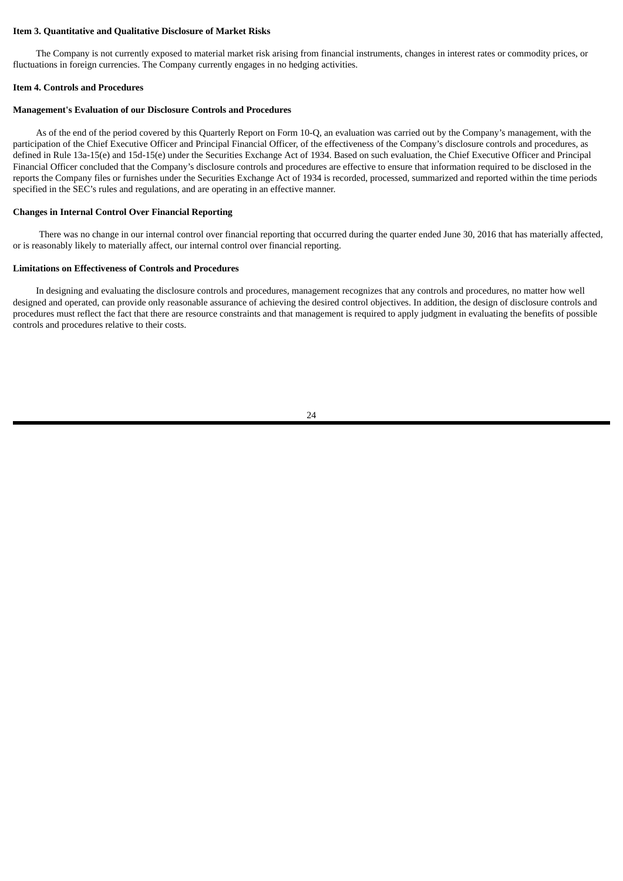#### <span id="page-23-0"></span>**Item 3. Quantitative and Qualitative Disclosure of Market Risks**

The Company is not currently exposed to material market risk arising from financial instruments, changes in interest rates or commodity prices, or fluctuations in foreign currencies. The Company currently engages in no hedging activities.

#### <span id="page-23-1"></span>**Item 4. Controls and Procedures**

## **Management's Evaluation of our Disclosure Controls and Procedures**

As of the end of the period covered by this Quarterly Report on Form 10-Q, an evaluation was carried out by the Company's management, with the participation of the Chief Executive Officer and Principal Financial Officer, of the effectiveness of the Company's disclosure controls and procedures, as defined in Rule 13a-15(e) and 15d-15(e) under the Securities Exchange Act of 1934. Based on such evaluation, the Chief Executive Officer and Principal Financial Officer concluded that the Company's disclosure controls and procedures are effective to ensure that information required to be disclosed in the reports the Company files or furnishes under the Securities Exchange Act of 1934 is recorded, processed, summarized and reported within the time periods specified in the SEC's rules and regulations, and are operating in an effective manner.

#### **Changes in Internal Control Over Financial Reporting**

There was no change in our internal control over financial reporting that occurred during the quarter ended June 30, 2016 that has materially affected, or is reasonably likely to materially affect, our internal control over financial reporting.

## **Limitations on Effectiveness of Controls and Procedures**

In designing and evaluating the disclosure controls and procedures, management recognizes that any controls and procedures, no matter how well designed and operated, can provide only reasonable assurance of achieving the desired control objectives. In addition, the design of disclosure controls and procedures must reflect the fact that there are resource constraints and that management is required to apply judgment in evaluating the benefits of possible controls and procedures relative to their costs.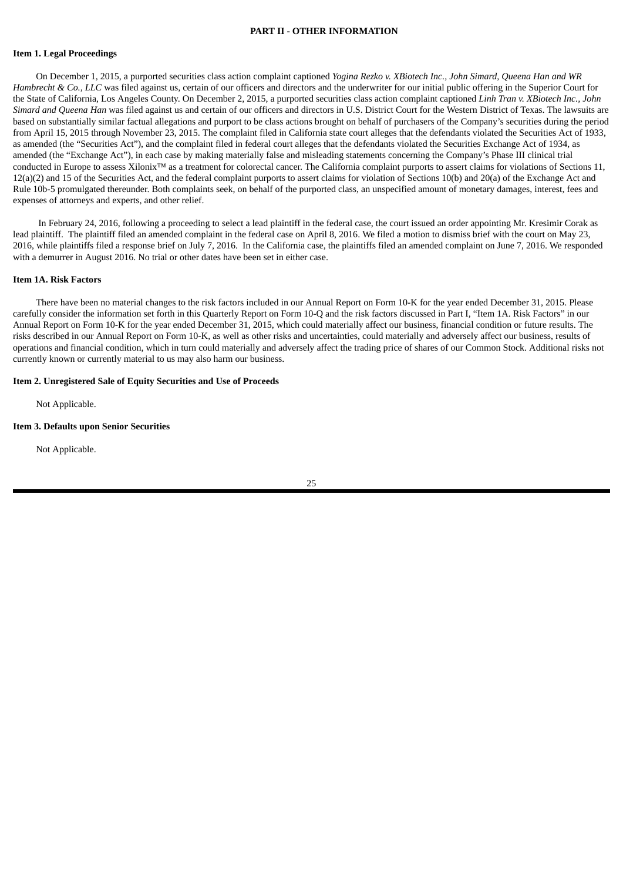#### **PART II - OTHER INFORMATION**

#### <span id="page-24-1"></span><span id="page-24-0"></span>**Item 1. Legal Proceedings**

On December 1, 2015, a purported securities class action complaint captioned *Yogina Rezko v. XBiotech Inc., John Simard, Queena Han and WR Hambrecht & Co., LLC* was filed against us, certain of our officers and directors and the underwriter for our initial public offering in the Superior Court for the State of California, Los Angeles County. On December 2, 2015, a purported securities class action complaint captioned *Linh Tran v. XBiotech Inc., John Simard and Queena Han* was filed against us and certain of our officers and directors in U.S. District Court for the Western District of Texas. The lawsuits are based on substantially similar factual allegations and purport to be class actions brought on behalf of purchasers of the Company's securities during the period from April 15, 2015 through November 23, 2015. The complaint filed in California state court alleges that the defendants violated the Securities Act of 1933, as amended (the "Securities Act"), and the complaint filed in federal court alleges that the defendants violated the Securities Exchange Act of 1934, as amended (the "Exchange Act"), in each case by making materially false and misleading statements concerning the Company's Phase III clinical trial conducted in Europe to assess Xilonix™ as a treatment for colorectal cancer. The California complaint purports to assert claims for violations of Sections 11, 12(a)(2) and 15 of the Securities Act, and the federal complaint purports to assert claims for violation of Sections 10(b) and 20(a) of the Exchange Act and Rule 10b-5 promulgated thereunder. Both complaints seek, on behalf of the purported class, an unspecified amount of monetary damages, interest, fees and expenses of attorneys and experts, and other relief.

In February 24, 2016, following a proceeding to select a lead plaintiff in the federal case, the court issued an order appointing Mr. Kresimir Corak as lead plaintiff. The plaintiff filed an amended complaint in the federal case on April 8, 2016. We filed a motion to dismiss brief with the court on May 23, 2016, while plaintiffs filed a response brief on July 7, 2016. In the California case, the plaintiffs filed an amended complaint on June 7, 2016. We responded with a demurrer in August 2016. No trial or other dates have been set in either case.

#### <span id="page-24-2"></span>**Item 1A. Risk Factors**

There have been no material changes to the risk factors included in our Annual Report on Form 10-K for the year ended December 31, 2015. Please carefully consider the information set forth in this Quarterly Report on Form 10-Q and the risk factors discussed in Part I, "Item 1A. Risk Factors" in our Annual Report on Form 10-K for the year ended December 31, 2015, which could materially affect our business, financial condition or future results. The risks described in our Annual Report on Form 10-K, as well as other risks and uncertainties, could materially and adversely affect our business, results of operations and financial condition, which in turn could materially and adversely affect the trading price of shares of our Common Stock. Additional risks not currently known or currently material to us may also harm our business.

#### <span id="page-24-3"></span>**Item 2. Unregistered Sale of Equity Securities and Use of Proceeds**

Not Applicable.

#### <span id="page-24-4"></span>**Item 3. Defaults upon Senior Securities**

Not Applicable.

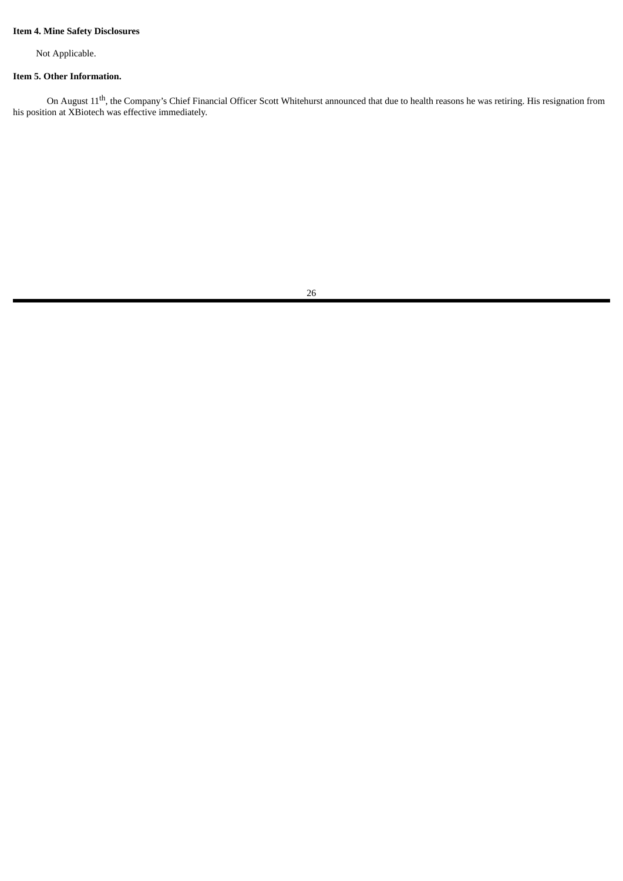## <span id="page-25-0"></span>**Item 4. Mine Safety Disclosures**

Not Applicable.

## <span id="page-25-1"></span>**Item 5. Other Information.**

On August 11<sup>th</sup>, the Company's Chief Financial Officer Scott Whitehurst announced that due to health reasons he was retiring. His resignation from his position at XBiotech was effective immediately.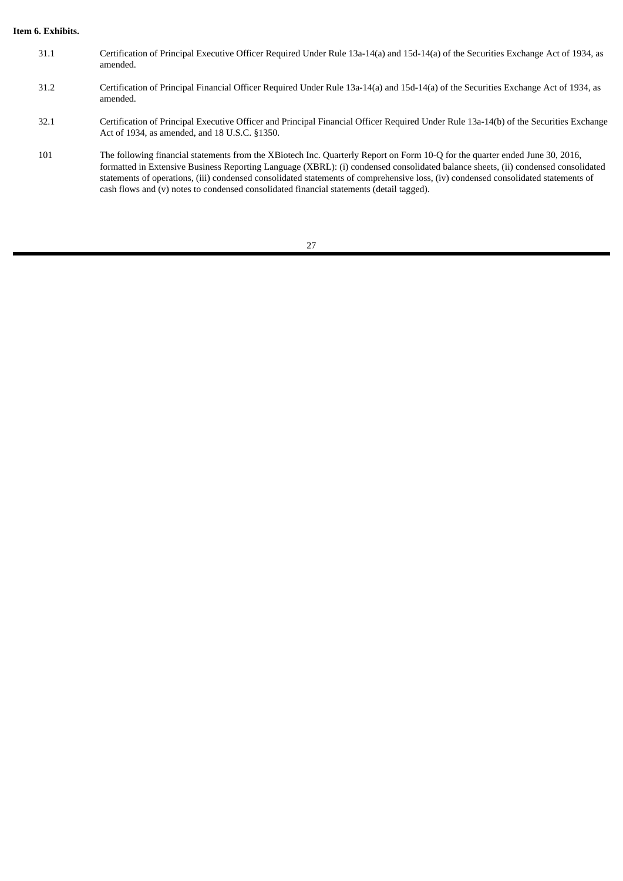## <span id="page-26-0"></span>**Item 6. Exhibits.**

| 31.1 | Certification of Principal Executive Officer Required Under Rule 13a-14(a) and 15d-14(a) of the Securities Exchange Act of 1934, as<br>amended.                                                                                                                                                                                                                                                                                                                                                     |
|------|-----------------------------------------------------------------------------------------------------------------------------------------------------------------------------------------------------------------------------------------------------------------------------------------------------------------------------------------------------------------------------------------------------------------------------------------------------------------------------------------------------|
| 31.2 | Certification of Principal Financial Officer Required Under Rule 13a-14(a) and 15d-14(a) of the Securities Exchange Act of 1934, as<br>amended.                                                                                                                                                                                                                                                                                                                                                     |
| 32.1 | Certification of Principal Executive Officer and Principal Financial Officer Required Under Rule 13a-14(b) of the Securities Exchange<br>Act of 1934, as amended, and 18 U.S.C. §1350.                                                                                                                                                                                                                                                                                                              |
| 101  | The following financial statements from the XBiotech Inc. Quarterly Report on Form 10-Q for the quarter ended June 30, 2016,<br>formatted in Extensive Business Reporting Language (XBRL): (i) condensed consolidated balance sheets, (ii) condensed consolidated<br>statements of operations, (iii) condensed consolidated statements of comprehensive loss, (iv) condensed consolidated statements of<br>cash flows and (y) notes to condensed consolidated financial statements (detail tagged). |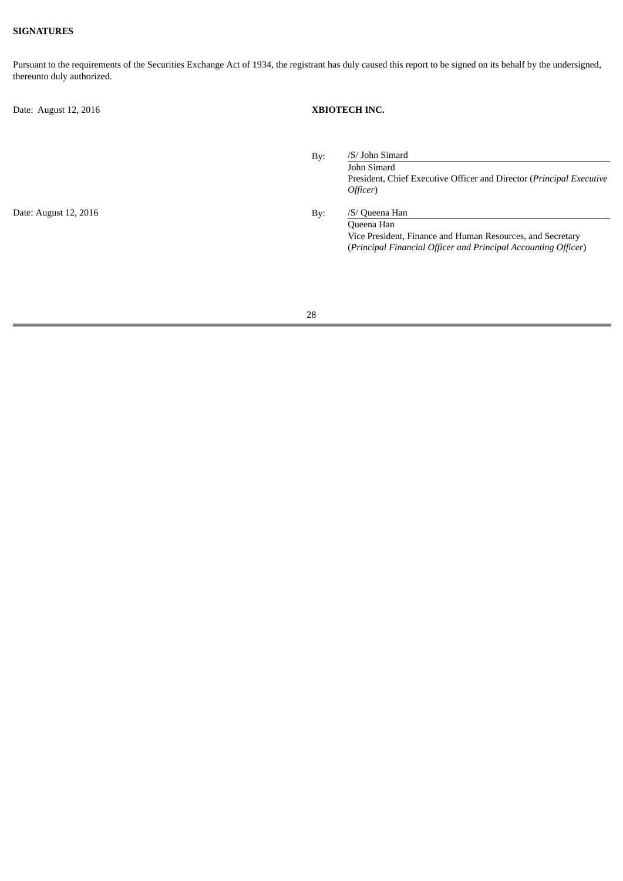### <span id="page-27-0"></span>**SIGNATURES**

Pursuant to the requirements of the Securities Exchange Act of 1934, the registrant has duly caused this report to be signed on its behalf by the undersigned, thereunto duly authorized.

Date: August 12, 2016 **XBIOTECH INC.** 

- By: /S/ John Simard John Simard President, Chief Executive Officer and Director (*Principal Executive Officer*)
- Date: August 12, 2016 By: /S/ Queena Han Queena Han Vice President, Finance and Human Resources, and Secretary (*Principal Financial Officer and Principal Accounting Officer*)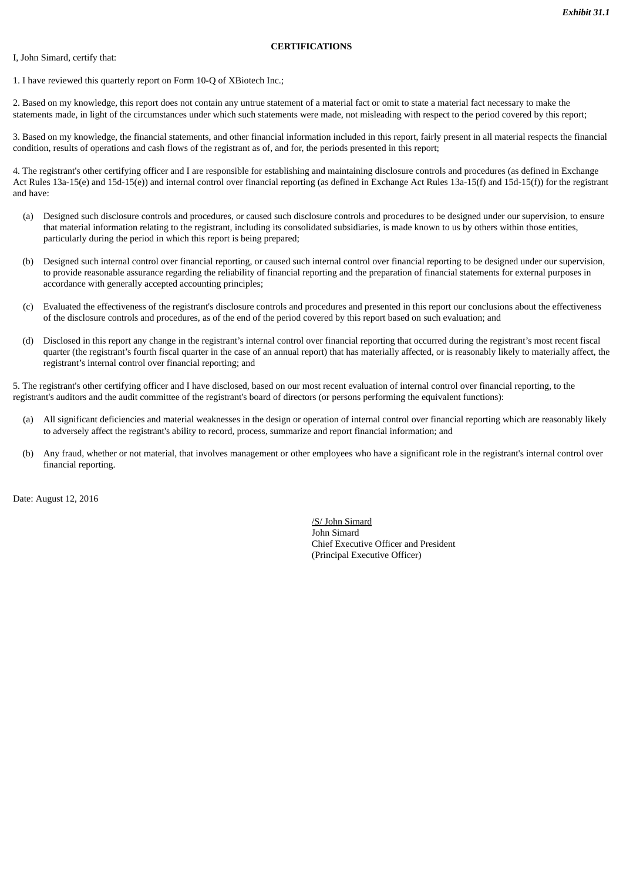## **CERTIFICATIONS**

I, John Simard, certify that:

1. I have reviewed this quarterly report on Form 10-Q of XBiotech Inc.;

2. Based on my knowledge, this report does not contain any untrue statement of a material fact or omit to state a material fact necessary to make the statements made, in light of the circumstances under which such statements were made, not misleading with respect to the period covered by this report;

3. Based on my knowledge, the financial statements, and other financial information included in this report, fairly present in all material respects the financial condition, results of operations and cash flows of the registrant as of, and for, the periods presented in this report;

4. The registrant's other certifying officer and I are responsible for establishing and maintaining disclosure controls and procedures (as defined in Exchange Act Rules 13a-15(e) and 15d-15(e)) and internal control over financial reporting (as defined in Exchange Act Rules 13a-15(f) and 15d-15(f)) for the registrant and have:

- (a) Designed such disclosure controls and procedures, or caused such disclosure controls and procedures to be designed under our supervision, to ensure that material information relating to the registrant, including its consolidated subsidiaries, is made known to us by others within those entities, particularly during the period in which this report is being prepared;
- (b) Designed such internal control over financial reporting, or caused such internal control over financial reporting to be designed under our supervision, to provide reasonable assurance regarding the reliability of financial reporting and the preparation of financial statements for external purposes in accordance with generally accepted accounting principles;
- (c) Evaluated the effectiveness of the registrant's disclosure controls and procedures and presented in this report our conclusions about the effectiveness of the disclosure controls and procedures, as of the end of the period covered by this report based on such evaluation; and
- (d) Disclosed in this report any change in the registrant's internal control over financial reporting that occurred during the registrant's most recent fiscal quarter (the registrant's fourth fiscal quarter in the case of an annual report) that has materially affected, or is reasonably likely to materially affect, the registrant's internal control over financial reporting; and

5. The registrant's other certifying officer and I have disclosed, based on our most recent evaluation of internal control over financial reporting, to the registrant's auditors and the audit committee of the registrant's board of directors (or persons performing the equivalent functions):

- (a) All significant deficiencies and material weaknesses in the design or operation of internal control over financial reporting which are reasonably likely to adversely affect the registrant's ability to record, process, summarize and report financial information; and
- (b) Any fraud, whether or not material, that involves management or other employees who have a significant role in the registrant's internal control over financial reporting.

Date: August 12, 2016

/S/ John Simard John Simard Chief Executive Officer and President (Principal Executive Officer)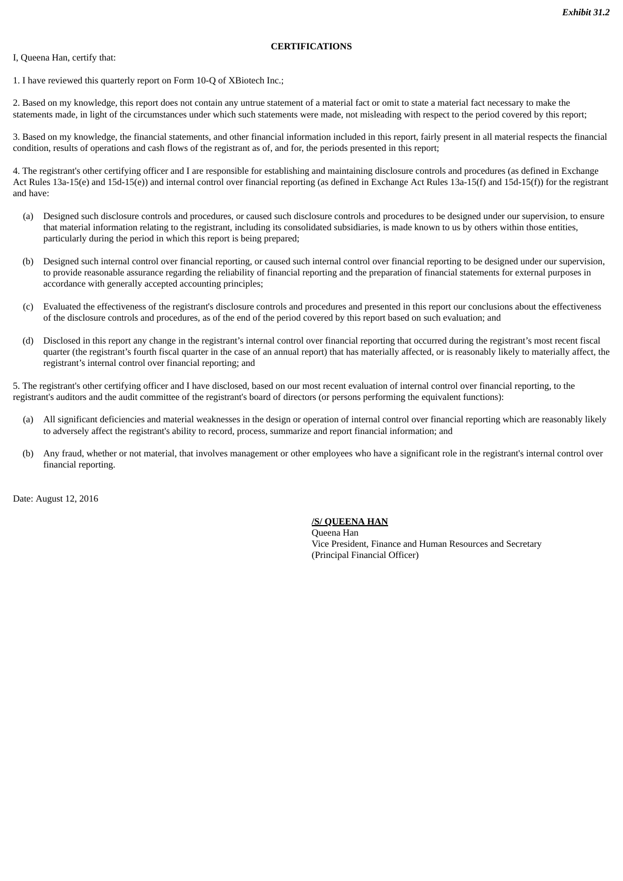## **CERTIFICATIONS**

I, Queena Han, certify that:

1. I have reviewed this quarterly report on Form 10-Q of XBiotech Inc.;

2. Based on my knowledge, this report does not contain any untrue statement of a material fact or omit to state a material fact necessary to make the statements made, in light of the circumstances under which such statements were made, not misleading with respect to the period covered by this report;

3. Based on my knowledge, the financial statements, and other financial information included in this report, fairly present in all material respects the financial condition, results of operations and cash flows of the registrant as of, and for, the periods presented in this report;

4. The registrant's other certifying officer and I are responsible for establishing and maintaining disclosure controls and procedures (as defined in Exchange Act Rules 13a-15(e) and 15d-15(e)) and internal control over financial reporting (as defined in Exchange Act Rules 13a-15(f) and 15d-15(f)) for the registrant and have:

- (a) Designed such disclosure controls and procedures, or caused such disclosure controls and procedures to be designed under our supervision, to ensure that material information relating to the registrant, including its consolidated subsidiaries, is made known to us by others within those entities, particularly during the period in which this report is being prepared;
- (b) Designed such internal control over financial reporting, or caused such internal control over financial reporting to be designed under our supervision, to provide reasonable assurance regarding the reliability of financial reporting and the preparation of financial statements for external purposes in accordance with generally accepted accounting principles;
- (c) Evaluated the effectiveness of the registrant's disclosure controls and procedures and presented in this report our conclusions about the effectiveness of the disclosure controls and procedures, as of the end of the period covered by this report based on such evaluation; and
- (d) Disclosed in this report any change in the registrant's internal control over financial reporting that occurred during the registrant's most recent fiscal quarter (the registrant's fourth fiscal quarter in the case of an annual report) that has materially affected, or is reasonably likely to materially affect, the registrant's internal control over financial reporting; and

5. The registrant's other certifying officer and I have disclosed, based on our most recent evaluation of internal control over financial reporting, to the registrant's auditors and the audit committee of the registrant's board of directors (or persons performing the equivalent functions):

- (a) All significant deficiencies and material weaknesses in the design or operation of internal control over financial reporting which are reasonably likely to adversely affect the registrant's ability to record, process, summarize and report financial information; and
- (b) Any fraud, whether or not material, that involves management or other employees who have a significant role in the registrant's internal control over financial reporting.

Date: August 12, 2016

## **/S/ QUEENA HAN**

Queena Han Vice President, Finance and Human Resources and Secretary (Principal Financial Officer)